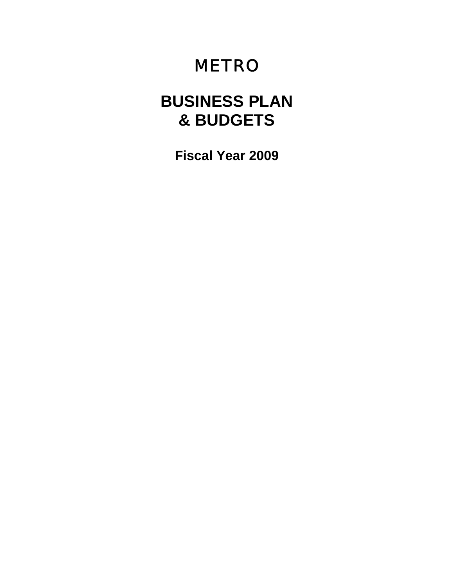# METRO

# **BUSINESS PLAN & BUDGETS**

**Fiscal Year 2009**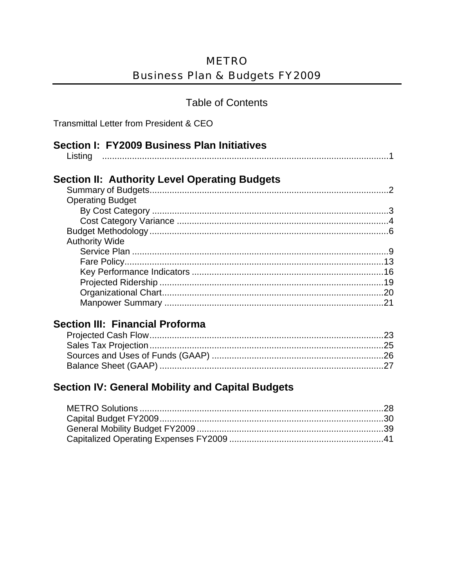#### **Table of Contents**

Transmittal Letter from President & CEO

| Section I: FY2009 Business Plan Initiatives |  |
|---------------------------------------------|--|
|                                             |  |

|--|--|

### **Section II: Authority Level Operating Budgets**

| <b>Operating Budget</b> |  |
|-------------------------|--|
|                         |  |
|                         |  |
|                         |  |
| <b>Authority Wide</b>   |  |
|                         |  |
|                         |  |
|                         |  |
|                         |  |
|                         |  |
|                         |  |
|                         |  |

### **Section III: Financial Proforma**

### **Section IV: General Mobility and Capital Budgets**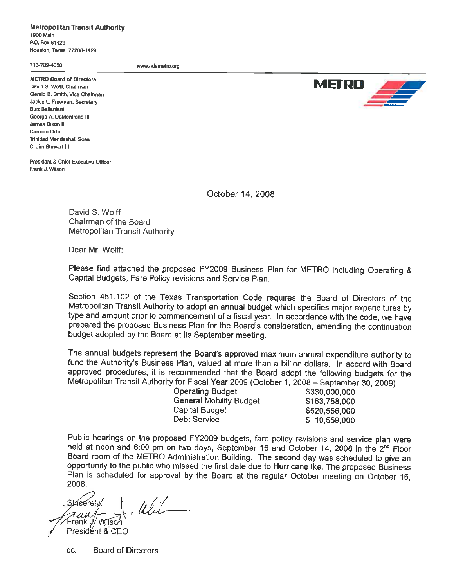**Metropolitan Transit Authority** 1900 Main P.O. Box 61429 Houston, Texas 77208-1429

713-739-4000

www.ridemetro.org

**METRO Board of Directors** David S. Wolff, Chalrman Gerald B. Smith, Vice Chairman Jackie L. Freeman, Secretary **Burt Ballanfant** George A. DeMontrond III James Dixon II Carmen Orta **Trinidad Mendenhall Sosa** C. Jim Slewart III

President & Chief Executive Officer Frank J. Wilson

October 14, 2008

David S. Wolff Chairman of the Board **Metropolitan Transit Authority** 

Dear Mr. Wolff:

Please find attached the proposed FY2009 Business Plan for METRO including Operating & Capital Budgets, Fare Policy revisions and Service Plan.

Section 451.102 of the Texas Transportation Code requires the Board of Directors of the Metropolitan Transit Authority to adopt an annual budget which specifies major expenditures by type and amount prior to commencement of a fiscal year. In accordance with the code, we have prepared the proposed Business Plan for the Board's consideration, amending the continuation budget adopted by the Board at its September meeting.

The annual budgets represent the Board's approved maximum annual expenditure authority to fund the Authority's Business Plan, valued at more than a billion dollars. In accord with Board approved procedures, it is recommended that the Board adopt the following budgets for the Metropolitan Transit Authority for Fiscal Year 2009 (October 1, 2008 - September 30, 2009)

**Operating Budget General Mobility Budget** Capital Budget **Debt Service** 

\$330,000,000 \$163,758,000 \$520,556,000 \$10,559,000

Public hearings on the proposed FY2009 budgets, fare policy revisions and service plan were held at noon and 6:00 pm on two days, September 16 and October 14, 2008 in the 2<sup>nd</sup> Floor Board room of the METRO Administration Building. The second day was scheduled to give an opportunity to the public who missed the first date due to Hurricane Ike. The proposed Business Plan is scheduled for approval by the Board at the regular October meeting on October 16. 2008.

Util. ineerelv Frank <sub>×</sub> President & CEO

CC: **Board of Directors** 

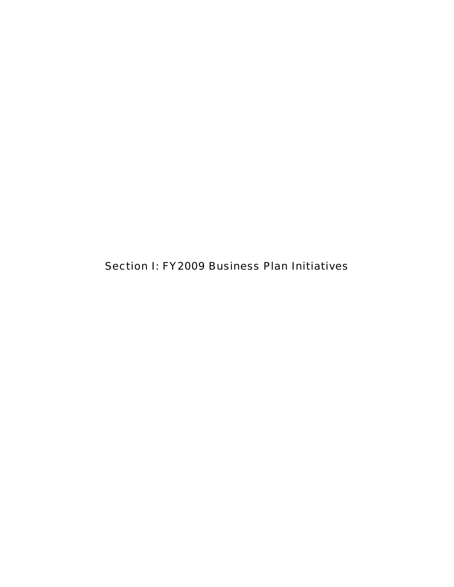Section I: FY2009 Business Plan Initiatives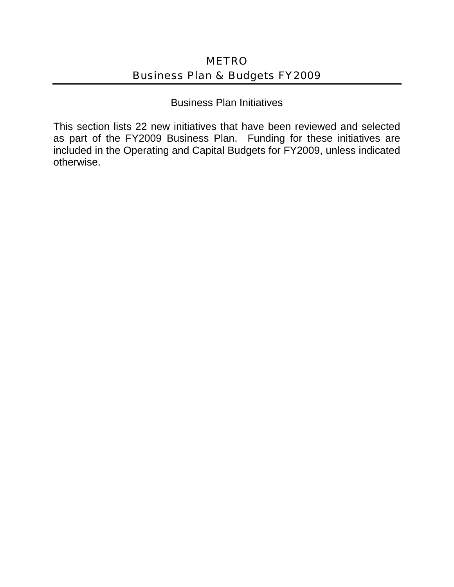Business Plan Initiatives

This section lists 22 new initiatives that have been reviewed and selected as part of the FY2009 Business Plan. Funding for these initiatives are included in the Operating and Capital Budgets for FY2009, unless indicated otherwise.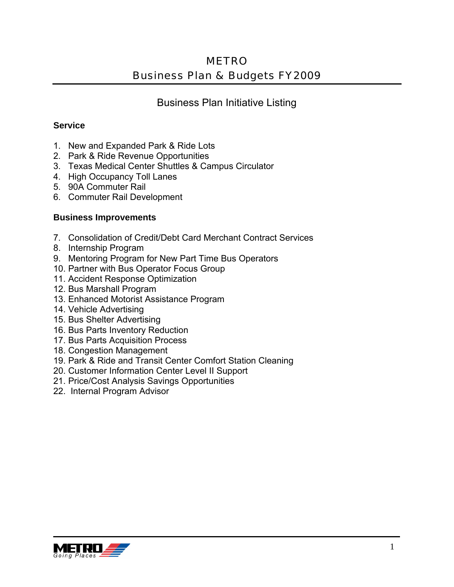Business Plan Initiative Listing

#### **Service**

- 1. New and Expanded Park & Ride Lots
- 2. Park & Ride Revenue Opportunities
- 3. Texas Medical Center Shuttles & Campus Circulator
- 4. High Occupancy Toll Lanes
- 5. 90A Commuter Rail
- 6. Commuter Rail Development

#### **Business Improvements**

- 7. Consolidation of Credit/Debt Card Merchant Contract Services
- 8. Internship Program
- 9. Mentoring Program for New Part Time Bus Operators
- 10. Partner with Bus Operator Focus Group
- 11. Accident Response Optimization
- 12. Bus Marshall Program
- 13. Enhanced Motorist Assistance Program
- 14. Vehicle Advertising
- 15. Bus Shelter Advertising
- 16. Bus Parts Inventory Reduction
- 17. Bus Parts Acquisition Process
- 18. Congestion Management
- 19. Park & Ride and Transit Center Comfort Station Cleaning
- 20. Customer Information Center Level II Support
- 21. Price/Cost Analysis Savings Opportunities
- 22. Internal Program Advisor

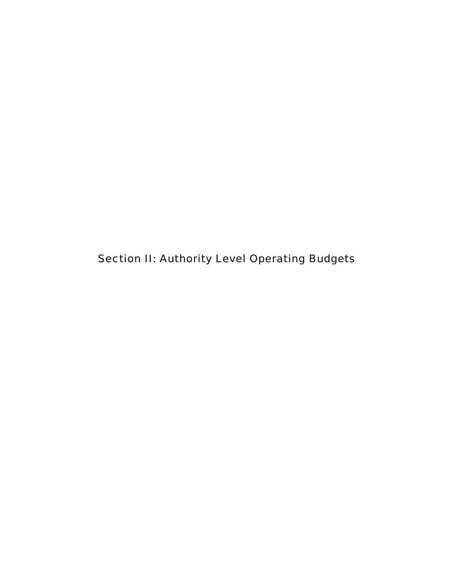Section II: Authority Level Operating Budgets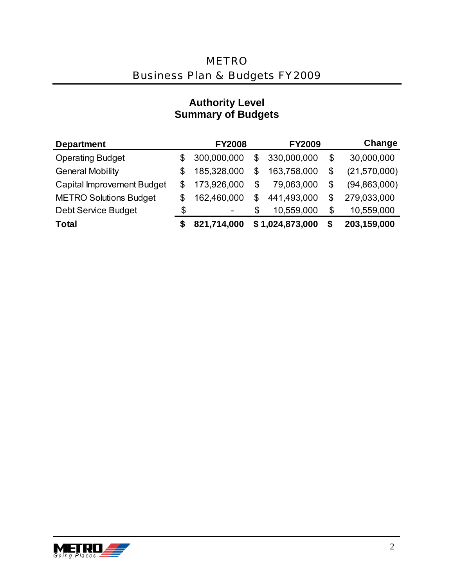| <b>Department</b>                 |    | <b>FY2008</b>                | <b>FY2009</b>     | Change               |
|-----------------------------------|----|------------------------------|-------------------|----------------------|
| <b>Operating Budget</b>           | \$ | 300,000,000                  | \$<br>330,000,000 | \$<br>30,000,000     |
| <b>General Mobility</b>           | S  | 185,328,000                  | \$<br>163,758,000 | \$<br>(21,570,000)   |
| <b>Capital Improvement Budget</b> | S  | 173,926,000                  | \$<br>79,063,000  | \$<br>(94, 863, 000) |
| <b>METRO Solutions Budget</b>     | \$ | 162,460,000                  | \$<br>441,493,000 | \$<br>279,033,000    |
| <b>Debt Service Budget</b>        | \$ | $\qquad \qquad \blacksquare$ | \$<br>10,559,000  | \$<br>10,559,000     |
| <b>Total</b>                      |    | 821,714,000                  | \$1,024,873,000   | \$<br>203,159,000    |

### **Authority Level Summary of Budgets**

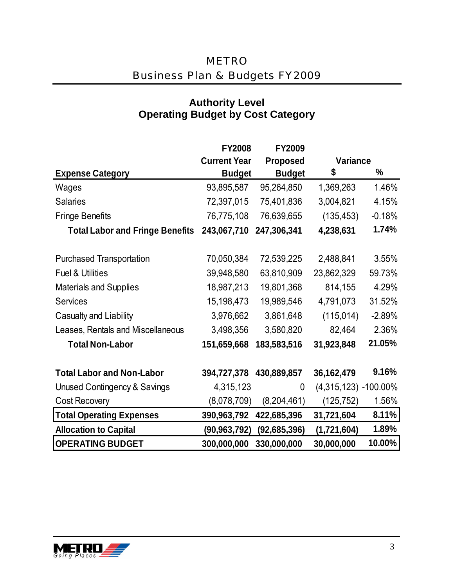|                                         | <b>FY2008</b>       | FY2009          |                         |          |
|-----------------------------------------|---------------------|-----------------|-------------------------|----------|
|                                         | <b>Current Year</b> | <b>Proposed</b> | Variance                |          |
| <b>Expense Category</b>                 | <b>Budget</b>       | <b>Budget</b>   | \$                      | %        |
| Wages                                   | 93,895,587          | 95,264,850      | 1,369,263               | 1.46%    |
| <b>Salaries</b>                         | 72,397,015          | 75,401,836      | 3,004,821               | 4.15%    |
| <b>Fringe Benefits</b>                  | 76,775,108          | 76,639,655      | (135, 453)              | $-0.18%$ |
| <b>Total Labor and Fringe Benefits</b>  | 243,067,710         | 247,306,341     | 4,238,631               | 1.74%    |
| <b>Purchased Transportation</b>         | 70,050,384          | 72,539,225      | 2,488,841               | 3.55%    |
| <b>Fuel &amp; Utilities</b>             | 39,948,580          | 63,810,909      | 23,862,329              | 59.73%   |
| <b>Materials and Supplies</b>           | 18,987,213          | 19,801,368      | 814,155                 | 4.29%    |
| <b>Services</b>                         | 15,198,473          | 19,989,546      | 4,791,073               | 31.52%   |
| Casualty and Liability                  | 3,976,662           | 3,861,648       | (115, 014)              | $-2.89%$ |
| Leases, Rentals and Miscellaneous       | 3,498,356           | 3,580,820       | 82,464                  | 2.36%    |
| <b>Total Non-Labor</b>                  | 151,659,668         | 183,583,516     | 31,923,848              | 21.05%   |
| <b>Total Labor and Non-Labor</b>        | 394,727,378         | 430,889,857     | 36, 162, 479            | 9.16%    |
| <b>Unused Contingency &amp; Savings</b> | 4,315,123           | $\overline{0}$  | $(4,315,123) -100.00\%$ |          |
| <b>Cost Recovery</b>                    | (8,078,709)         | (8,204,461)     | (125, 752)              | 1.56%    |
| <b>Total Operating Expenses</b>         | 390,963,792         | 422,685,396     | 31,721,604              | 8.11%    |
| <b>Allocation to Capital</b>            | (90, 963, 792)      | (92,685,396)    | (1,721,604)             | 1.89%    |
| <b>OPERATING BUDGET</b>                 | 300,000,000         | 330,000,000     | 30,000,000              | 10.00%   |

### **Authority Level Operating Budget by Cost Category**

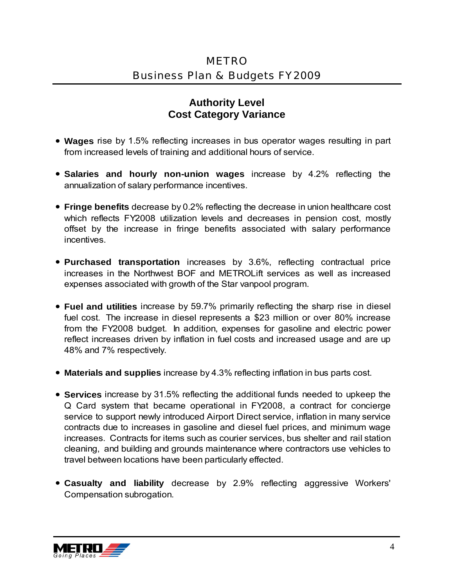### **Authority Level Cost Category Variance**

- **Wages** rise by 1.5% reflecting increases in bus operator wages resulting in part from increased levels of training and additional hours of service.
- **Salaries and hourly non-union wages** increase by 4.2% reflecting the annualization of salary performance incentives.
- **Fringe benefits** decrease by 0.2% reflecting the decrease in union healthcare cost which reflects FY2008 utilization levels and decreases in pension cost, mostly offset by the increase in fringe benefits associated with salary performance incentives.
- **Purchased transportation** increases by 3.6%, reflecting contractual price increases in the Northwest BOF and METROLift services as well as increased expenses associated with growth of the Star vanpool program.
- **Fuel and utilities** increase by 59.7% primarily reflecting the sharp rise in diesel fuel cost. The increase in diesel represents a \$23 million or over 80% increase from the FY2008 budget. In addition, expenses for gasoline and electric power reflect increases driven by inflation in fuel costs and increased usage and are up 48% and 7% respectively.
- **Materials and supplies** increase by 4.3% reflecting inflation in bus parts cost.
- **Services** increase by 31.5% reflecting the additional funds needed to upkeep the Q Card system that became operational in FY2008, a contract for concierge service to support newly introduced Airport Direct service, inflation in many service contracts due to increases in gasoline and diesel fuel prices, and minimum wage increases. Contracts for items such as courier services, bus shelter and rail station cleaning, and building and grounds maintenance where contractors use vehicles to travel between locations have been particularly effected.
- **Casualty and liability** decrease by 2.9% reflecting aggressive Workers' Compensation subrogation.

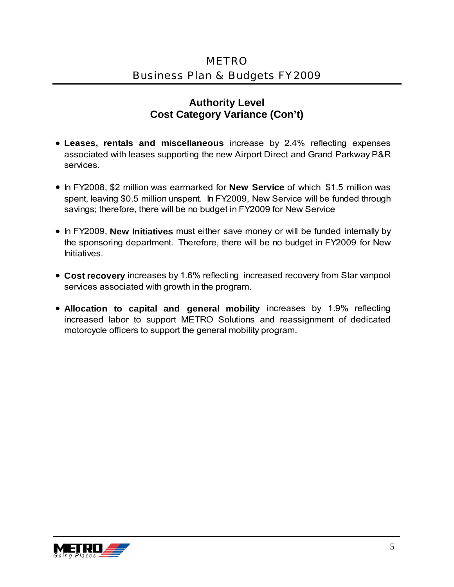#### **Authority Level Cost Category Variance (Con't)**

- **Leases, rentals and miscellaneous** increase by 2.4% reflecting expenses associated with leases supporting the new Airport Direct and Grand Parkway P&R services.
- In FY2008, \$2 million was earmarked for **New Service** of which \$1.5 million was spent, leaving \$0.5 million unspent. In FY2009, New Service will be funded through savings; therefore, there will be no budget in FY2009 for New Service
- In FY2009, **New Initiatives** must either save money or will be funded internally by the sponsoring department. Therefore, there will be no budget in FY2009 for New Initiatives.
- **Cost recovery** increases by 1.6% reflecting increased recovery from Star vanpool services associated with growth in the program.
- **Allocation to capital and general mobility** increases by 1.9% reflecting increased labor to support METRO Solutions and reassignment of dedicated motorcycle officers to support the general mobility program.

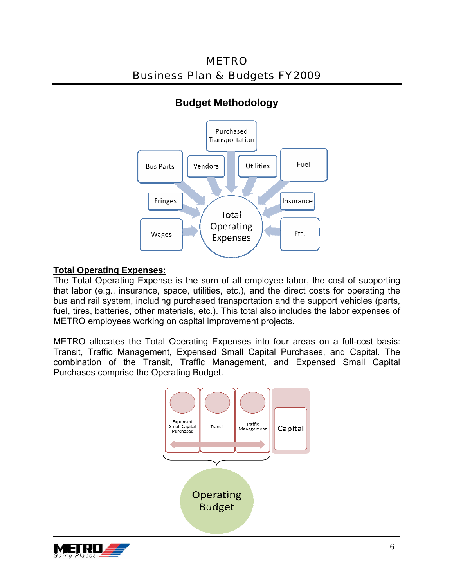METRO Business Plan & Budgets FY2009



### **Budget Methodology**

#### **Total Operating Expenses:**

The Total Operating Expense is the sum of all employee labor, the cost of supporting that labor (e.g., insurance, space, utilities, etc.), and the direct costs for operating the bus and rail system, including purchased transportation and the support vehicles (parts, fuel, tires, batteries, other materials, etc.). This total also includes the labor expenses of METRO employees working on capital improvement projects.

METRO allocates the Total Operating Expenses into four areas on a full-cost basis: Transit, Traffic Management, Expensed Small Capital Purchases, and Capital. The combination of the Transit, Traffic Management, and Expensed Small Capital Purchases comprise the Operating Budget.



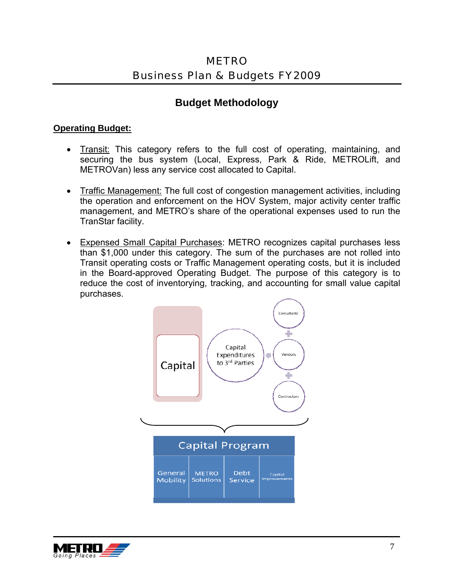### **Budget Methodology**

#### **Operating Budget:**

- **Transit:** This category refers to the full cost of operating, maintaining, and securing the bus system (Local, Express, Park & Ride, METROLift, and METROVan) less any service cost allocated to Capital.
- Traffic Management: The full cost of congestion management activities, including the operation and enforcement on the HOV System, major activity center traffic management, and METRO's share of the operational expenses used to run the TranStar facility.
- Expensed Small Capital Purchases: METRO recognizes capital purchases less than \$1,000 under this category. The sum of the purchases are not rolled into Transit operating costs or Traffic Management operating costs, but it is included in the Board-approved Operating Budget. The purpose of this category is to reduce the cost of inventorying, tracking, and accounting for small value capital purchases.



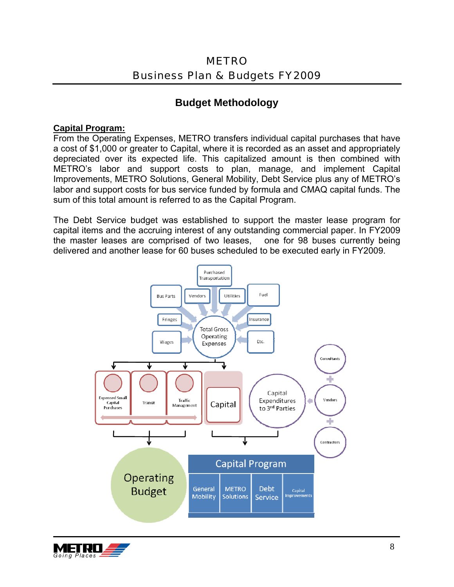### **Budget Methodology**

#### **Capital Program:**

From the Operating Expenses, METRO transfers individual capital purchases that have a cost of \$1,000 or greater to Capital, where it is recorded as an asset and appropriately depreciated over its expected life. This capitalized amount is then combined with METRO's labor and support costs to plan, manage, and implement Capital Improvements, METRO Solutions, General Mobility, Debt Service plus any of METRO's labor and support costs for bus service funded by formula and CMAQ capital funds. The sum of this total amount is referred to as the Capital Program.

The Debt Service budget was established to support the master lease program for capital items and the accruing interest of any outstanding commercial paper. In FY2009 the master leases are comprised of two leases, one for 98 buses currently being delivered and another lease for 60 buses scheduled to be executed early in FY2009.



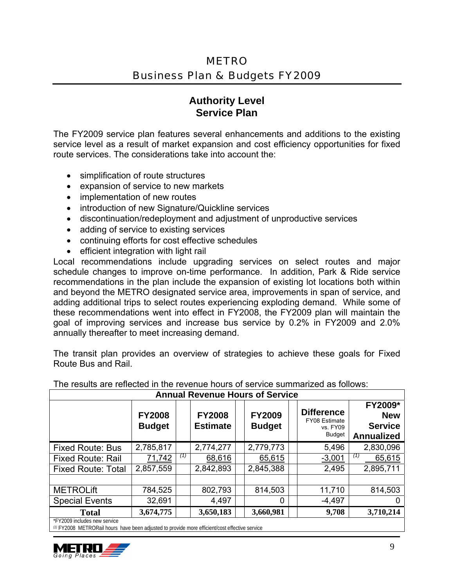### **Authority Level Service Plan**

The FY2009 service plan features several enhancements and additions to the existing service level as a result of market expansion and cost efficiency opportunities for fixed route services. The considerations take into account the:

- simplification of route structures
- expansion of service to new markets
- implementation of new routes
- introduction of new Signature/Quickline services
- discontinuation/redeployment and adjustment of unproductive services
- adding of service to existing services
- continuing efforts for cost effective schedules
- efficient integration with light rail

Local recommendations include upgrading services on select routes and major schedule changes to improve on-time performance. In addition, Park & Ride service recommendations in the plan include the expansion of existing lot locations both within and beyond the METRO designated service area, improvements in span of service, and adding additional trips to select routes experiencing exploding demand. While some of these recommendations went into effect in FY2008, the FY2009 plan will maintain the goal of improving services and increase bus service by 0.2% in FY2009 and 2.0% annually thereafter to meet increasing demand.

The transit plan provides an overview of strategies to achieve these goals for Fixed Route Bus and Rail.

| <b>Annual Revenue Hours of Service</b> |                                |     |                                  |  |                                |  |                                                                        |                                                              |
|----------------------------------------|--------------------------------|-----|----------------------------------|--|--------------------------------|--|------------------------------------------------------------------------|--------------------------------------------------------------|
|                                        | <b>FY2008</b><br><b>Budget</b> |     | <b>FY2008</b><br><b>Estimate</b> |  | <b>FY2009</b><br><b>Budget</b> |  | <b>Difference</b><br><b>FY08 Estimate</b><br>vs. FY09<br><b>Budget</b> | FY2009*<br><b>New</b><br><b>Service</b><br><b>Annualized</b> |
| <b>Fixed Route: Bus</b>                | 2,785,817                      |     | 2,774,277                        |  | 2,779,773                      |  | 5,496                                                                  | 2,830,096                                                    |
| <b>Fixed Route: Rail</b>               | 71,742                         | (1) | 68,616                           |  | 65,615                         |  | $-3,001$                                                               | (1)<br>65,615                                                |
| <b>Fixed Route: Total</b>              | 2,857,559                      |     | 2,842,893                        |  | 2,845,388                      |  | 2,495                                                                  | 2,895,711                                                    |
|                                        |                                |     |                                  |  |                                |  |                                                                        |                                                              |
| <b>METROLift</b>                       | 784,525                        |     | 802,793                          |  | 814,503                        |  | 11,710                                                                 | 814,503                                                      |
| <b>Special Events</b>                  | 32,691                         |     | 4,497                            |  | 0                              |  | $-4,497$                                                               |                                                              |
| <b>Total</b>                           | 3,674,775                      |     | 3,650,183                        |  | 3,660,981                      |  | 9,708                                                                  | 3,710,214                                                    |
| *FY2009 includes new service           |                                |     |                                  |  |                                |  |                                                                        |                                                              |

The results are reflected in the revenue hours of service summarized as follows:

*(1)* FY2008 METRORail hours have been adjusted to provide more efficient/cost effective service

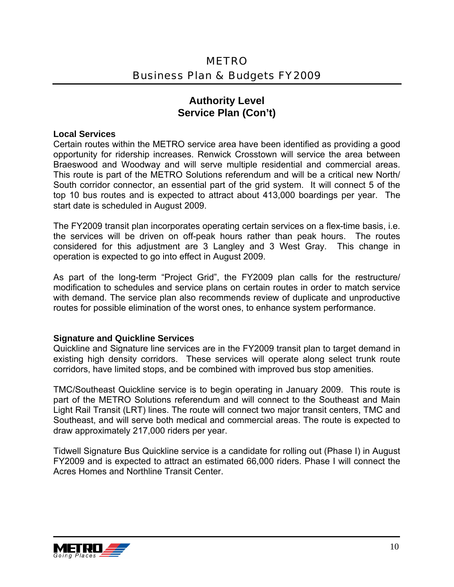#### **Authority Level Service Plan (Con't)**

#### **Local Services**

Certain routes within the METRO service area have been identified as providing a good opportunity for ridership increases. Renwick Crosstown will service the area between Braeswood and Woodway and will serve multiple residential and commercial areas. This route is part of the METRO Solutions referendum and will be a critical new North/ South corridor connector, an essential part of the grid system. It will connect 5 of the top 10 bus routes and is expected to attract about 413,000 boardings per year. The start date is scheduled in August 2009.

The FY2009 transit plan incorporates operating certain services on a flex-time basis, i.e. the services will be driven on off-peak hours rather than peak hours. The routes considered for this adjustment are 3 Langley and 3 West Gray. This change in operation is expected to go into effect in August 2009.

As part of the long-term "Project Grid", the FY2009 plan calls for the restructure/ modification to schedules and service plans on certain routes in order to match service with demand. The service plan also recommends review of duplicate and unproductive routes for possible elimination of the worst ones, to enhance system performance.

#### **Signature and Quickline Services**

Quickline and Signature line services are in the FY2009 transit plan to target demand in existing high density corridors. These services will operate along select trunk route corridors, have limited stops, and be combined with improved bus stop amenities.

TMC/Southeast Quickline service is to begin operating in January 2009. This route is part of the METRO Solutions referendum and will connect to the Southeast and Main Light Rail Transit (LRT) lines. The route will connect two major transit centers, TMC and Southeast, and will serve both medical and commercial areas. The route is expected to draw approximately 217,000 riders per year.

Tidwell Signature Bus Quickline service is a candidate for rolling out (Phase I) in August FY2009 and is expected to attract an estimated 66,000 riders. Phase I will connect the Acres Homes and Northline Transit Center.

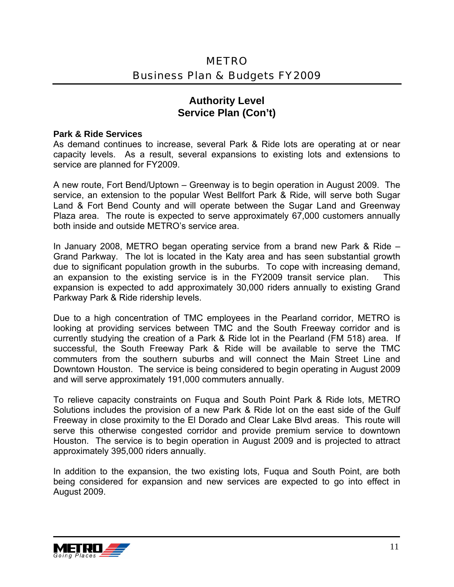#### **Authority Level Service Plan (Con't)**

#### **Park & Ride Services**

As demand continues to increase, several Park & Ride lots are operating at or near capacity levels. As a result, several expansions to existing lots and extensions to service are planned for FY2009.

A new route, Fort Bend/Uptown – Greenway is to begin operation in August 2009. The service, an extension to the popular West Bellfort Park & Ride, will serve both Sugar Land & Fort Bend County and will operate between the Sugar Land and Greenway Plaza area. The route is expected to serve approximately 67,000 customers annually both inside and outside METRO's service area.

In January 2008, METRO began operating service from a brand new Park & Ride – Grand Parkway. The lot is located in the Katy area and has seen substantial growth due to significant population growth in the suburbs. To cope with increasing demand, an expansion to the existing service is in the FY2009 transit service plan. This expansion is expected to add approximately 30,000 riders annually to existing Grand Parkway Park & Ride ridership levels.

Due to a high concentration of TMC employees in the Pearland corridor, METRO is looking at providing services between TMC and the South Freeway corridor and is currently studying the creation of a Park & Ride lot in the Pearland (FM 518) area. If successful, the South Freeway Park & Ride will be available to serve the TMC commuters from the southern suburbs and will connect the Main Street Line and Downtown Houston. The service is being considered to begin operating in August 2009 and will serve approximately 191,000 commuters annually.

To relieve capacity constraints on Fuqua and South Point Park & Ride lots, METRO Solutions includes the provision of a new Park & Ride lot on the east side of the Gulf Freeway in close proximity to the El Dorado and Clear Lake Blvd areas. This route will serve this otherwise congested corridor and provide premium service to downtown Houston. The service is to begin operation in August 2009 and is projected to attract approximately 395,000 riders annually.

In addition to the expansion, the two existing lots, Fuqua and South Point, are both being considered for expansion and new services are expected to go into effect in August 2009.

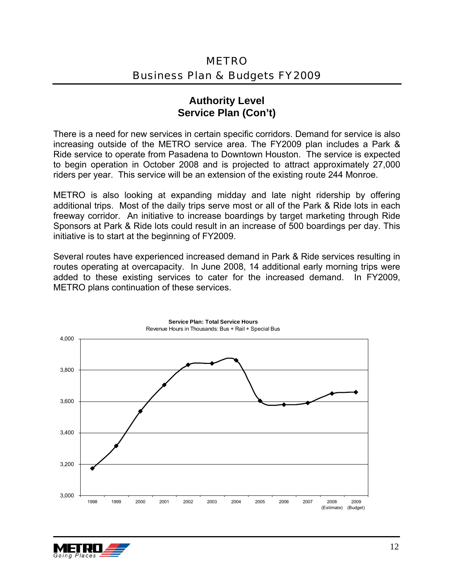#### **Authority Level Service Plan (Con't)**

There is a need for new services in certain specific corridors. Demand for service is also increasing outside of the METRO service area. The FY2009 plan includes a Park & Ride service to operate from Pasadena to Downtown Houston. The service is expected to begin operation in October 2008 and is projected to attract approximately 27,000 riders per year. This service will be an extension of the existing route 244 Monroe.

METRO is also looking at expanding midday and late night ridership by offering additional trips. Most of the daily trips serve most or all of the Park & Ride lots in each freeway corridor. An initiative to increase boardings by target marketing through Ride Sponsors at Park & Ride lots could result in an increase of 500 boardings per day. This initiative is to start at the beginning of FY2009.

Several routes have experienced increased demand in Park & Ride services resulting in routes operating at overcapacity. In June 2008, 14 additional early morning trips were added to these existing services to cater for the increased demand. In FY2009, METRO plans continuation of these services.



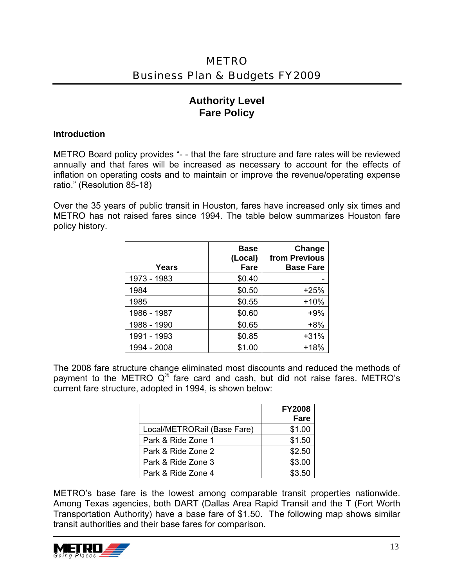### **Authority Level Fare Policy**

#### **Introduction**

METRO Board policy provides "- - that the fare structure and fare rates will be reviewed annually and that fares will be increased as necessary to account for the effects of inflation on operating costs and to maintain or improve the revenue/operating expense ratio." (Resolution 85-18)

Over the 35 years of public transit in Houston, fares have increased only six times and METRO has not raised fares since 1994. The table below summarizes Houston fare policy history.

| Years       | <b>Base</b><br>(Local)<br><b>Fare</b> | Change<br>from Previous<br><b>Base Fare</b> |
|-------------|---------------------------------------|---------------------------------------------|
| 1973 - 1983 | \$0.40                                |                                             |
| 1984        | \$0.50                                | $+25%$                                      |
| 1985        | \$0.55                                | $+10%$                                      |
| 1986 - 1987 | \$0.60                                | $+9%$                                       |
| 1988 - 1990 | \$0.65                                | $+8%$                                       |
| 1991 - 1993 | \$0.85                                | $+31%$                                      |
| 1994 - 2008 | \$1.00                                | $+18%$                                      |

The 2008 fare structure change eliminated most discounts and reduced the methods of payment to the METRO  $Q^{\circ}$  fare card and cash, but did not raise fares. METRO's current fare structure, adopted in 1994, is shown below:

|                             | <b>FY2008</b> |
|-----------------------------|---------------|
|                             | Fare          |
| Local/METRORail (Base Fare) | \$1.00        |
| Park & Ride Zone 1          | \$1.50        |
| Park & Ride Zone 2          | \$2.50        |
| Park & Ride Zone 3          | \$3.00        |
| Park & Ride Zone 4          | \$3.50        |

METRO's base fare is the lowest among comparable transit properties nationwide. Among Texas agencies, both DART (Dallas Area Rapid Transit and the T (Fort Worth Transportation Authority) have a base fare of \$1.50. The following map shows similar transit authorities and their base fares for comparison.

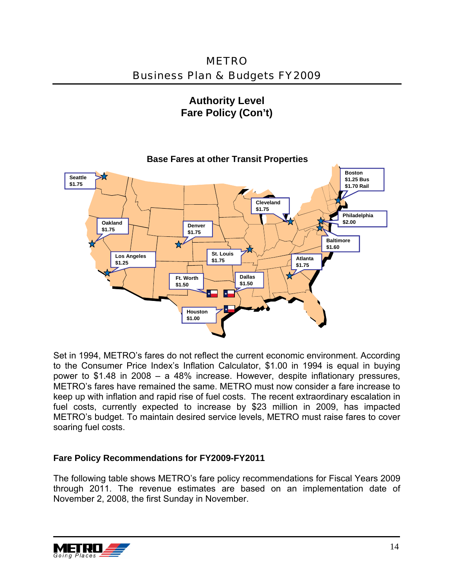METRO Business Plan & Budgets FY2009

**Authority Level Fare Policy (Con't)** 



Set in 1994, METRO's fares do not reflect the current economic environment. According to the Consumer Price Index's Inflation Calculator, \$1.00 in 1994 is equal in buying power to \$1.48 in 2008 – a 48% increase. However, despite inflationary pressures, METRO's fares have remained the same. METRO must now consider a fare increase to keep up with inflation and rapid rise of fuel costs. The recent extraordinary escalation in fuel costs, currently expected to increase by \$23 million in 2009, has impacted METRO's budget. To maintain desired service levels, METRO must raise fares to cover soaring fuel costs.

#### **Fare Policy Recommendations for FY2009-FY2011**

The following table shows METRO's fare policy recommendations for Fiscal Years 2009 through 2011. The revenue estimates are based on an implementation date of November 2, 2008, the first Sunday in November.

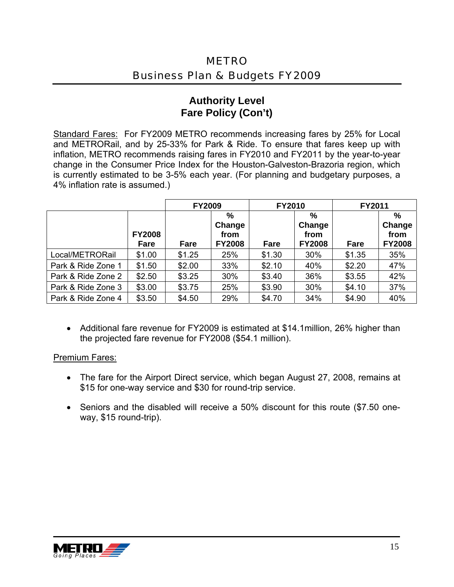#### **Authority Level Fare Policy (Con't)**

Standard Fares: For FY2009 METRO recommends increasing fares by 25% for Local and METRORail, and by 25-33% for Park & Ride. To ensure that fares keep up with inflation, METRO recommends raising fares in FY2010 and FY2011 by the year-to-year change in the Consumer Price Index for the Houston-Galveston-Brazoria region, which is currently estimated to be 3-5% each year. (For planning and budgetary purposes, a 4% inflation rate is assumed.)

|                    |                       | <b>FY2009</b> |                                      | <b>FY2010</b> |                                      | FY2011 |                                                  |
|--------------------|-----------------------|---------------|--------------------------------------|---------------|--------------------------------------|--------|--------------------------------------------------|
|                    | <b>FY2008</b><br>Fare | Fare          | %<br>Change<br>from<br><b>FY2008</b> | Fare          | %<br>Change<br>from<br><b>FY2008</b> | Fare   | $\frac{0}{0}$<br>Change<br>from<br><b>FY2008</b> |
| Local/METRORail    | \$1.00                | \$1.25        | 25%                                  | \$1.30        | 30%                                  | \$1.35 | 35%                                              |
| Park & Ride Zone 1 | \$1.50                | \$2.00        | 33%                                  | \$2.10        | 40%                                  | \$2.20 | 47%                                              |
| Park & Ride Zone 2 | \$2.50                | \$3.25        | 30%                                  | \$3.40        | 36%                                  | \$3.55 | 42%                                              |
| Park & Ride Zone 3 | \$3.00                | \$3.75        | 25%                                  | \$3.90        | 30%                                  | \$4.10 | 37%                                              |
| Park & Ride Zone 4 | \$3.50                | \$4.50        | 29%                                  | \$4.70        | 34%                                  | \$4.90 | 40%                                              |

• Additional fare revenue for FY2009 is estimated at \$14.1million, 26% higher than the projected fare revenue for FY2008 (\$54.1 million).

#### Premium Fares:

- The fare for the Airport Direct service, which began August 27, 2008, remains at \$15 for one-way service and \$30 for round-trip service.
- Seniors and the disabled will receive a 50% discount for this route (\$7.50 oneway, \$15 round-trip).

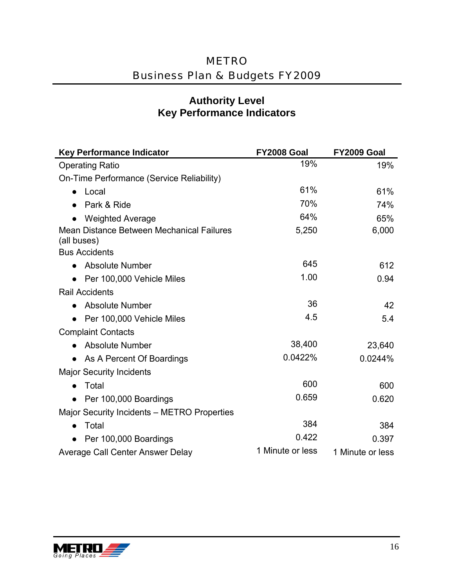#### **Authority Level Key Performance Indicators**

| <b>Key Performance Indicator</b>                         | <b>FY2008 Goal</b> | <b>FY2009 Goal</b> |
|----------------------------------------------------------|--------------------|--------------------|
| <b>Operating Ratio</b>                                   | 19%                | 19%                |
| On-Time Performance (Service Reliability)                |                    |                    |
| Local<br>$\bullet$                                       | 61%                | 61%                |
| Park & Ride                                              | 70%                | 74%                |
| <b>Weighted Average</b>                                  | 64%                | 65%                |
| Mean Distance Between Mechanical Failures<br>(all buses) | 5,250              | 6,000              |
| <b>Bus Accidents</b>                                     |                    |                    |
| <b>Absolute Number</b>                                   | 645                | 612                |
| Per 100,000 Vehicle Miles                                | 1.00               | 0.94               |
| <b>Rail Accidents</b>                                    |                    |                    |
| <b>Absolute Number</b>                                   | 36                 | 42                 |
| • Per 100,000 Vehicle Miles                              | 4.5                | 5.4                |
| <b>Complaint Contacts</b>                                |                    |                    |
| • Absolute Number                                        | 38,400             | 23,640             |
| As A Percent Of Boardings                                | 0.0422%            | 0.0244%            |
| <b>Major Security Incidents</b>                          |                    |                    |
| Total                                                    | 600                | 600                |
| Per 100,000 Boardings<br>$\bullet$                       | 0.659              | 0.620              |
| Major Security Incidents – METRO Properties              |                    |                    |
| Total                                                    | 384                | 384                |
| Per 100,000 Boardings<br>$\bullet$                       | 0.422              | 0.397              |
| Average Call Center Answer Delay                         | 1 Minute or less   | 1 Minute or less   |

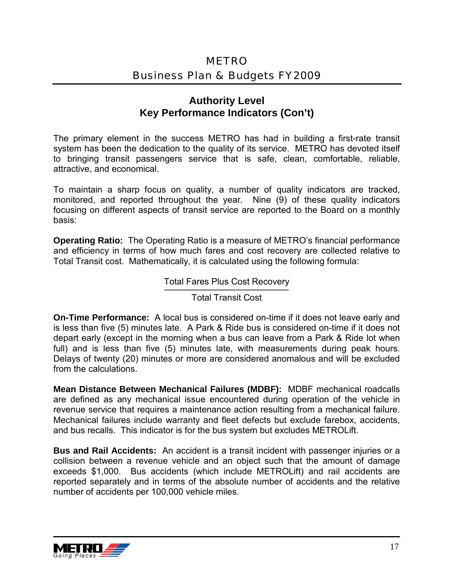#### **Authority Level Key Performance Indicators (Con't)**

The primary element in the success METRO has had in building a first-rate transit system has been the dedication to the quality of its service. METRO has devoted itself to bringing transit passengers service that is safe, clean, comfortable, reliable, attractive, and economical.

To maintain a sharp focus on quality, a number of quality indicators are tracked, monitored, and reported throughout the year. Nine (9) of these quality indicators focusing on different aspects of transit service are reported to the Board on a monthly basis:

**Operating Ratio:** The Operating Ratio is a measure of METRO's financial performance and efficiency in terms of how much fares and cost recovery are collected relative to Total Transit cost. Mathematically, it is calculated using the following formula:

Total Fares Plus Cost Recovery

**Total Transit Cost** 

**On-Time Performance:** A local bus is considered on-time if it does not leave early and is less than five (5) minutes late. A Park & Ride bus is considered on-time if it does not depart early (except in the morning when a bus can leave from a Park & Ride lot when full) and is less than five (5) minutes late, with measurements during peak hours. Delays of twenty (20) minutes or more are considered anomalous and will be excluded from the calculations.

**Mean Distance Between Mechanical Failures (MDBF):** MDBF mechanical roadcalls are defined as any mechanical issue encountered during operation of the vehicle in revenue service that requires a maintenance action resulting from a mechanical failure. Mechanical failures include warranty and fleet defects but exclude farebox, accidents, and bus recalls. This indicator is for the bus system but excludes METROLift.

**Bus and Rail Accidents:** An accident is a transit incident with passenger injuries or a collision between a revenue vehicle and an object such that the amount of damage exceeds \$1,000. Bus accidents (which include METROLift) and rail accidents are reported separately and in terms of the absolute number of accidents and the relative number of accidents per 100,000 vehicle miles.

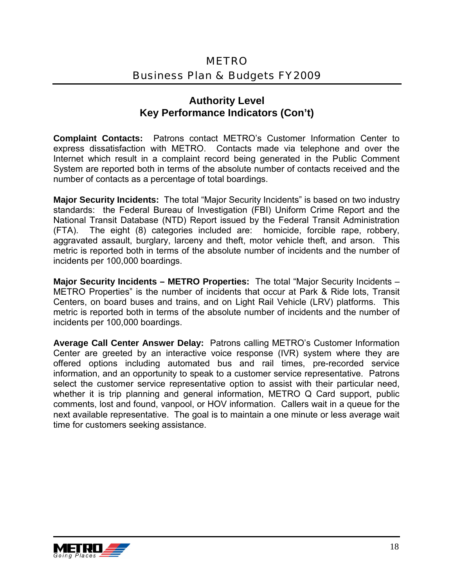#### **Authority Level Key Performance Indicators (Con't)**

**Complaint Contacts:** Patrons contact METRO's Customer Information Center to express dissatisfaction with METRO. Contacts made via telephone and over the Internet which result in a complaint record being generated in the Public Comment System are reported both in terms of the absolute number of contacts received and the number of contacts as a percentage of total boardings.

**Major Security Incidents:** The total "Major Security Incidents" is based on two industry standards: the Federal Bureau of Investigation (FBI) Uniform Crime Report and the National Transit Database (NTD) Report issued by the Federal Transit Administration (FTA). The eight (8) categories included are: homicide, forcible rape, robbery, aggravated assault, burglary, larceny and theft, motor vehicle theft, and arson. This metric is reported both in terms of the absolute number of incidents and the number of incidents per 100,000 boardings.

**Major Security Incidents – METRO Properties:** The total "Major Security Incidents – METRO Properties" is the number of incidents that occur at Park & Ride lots, Transit Centers, on board buses and trains, and on Light Rail Vehicle (LRV) platforms. This metric is reported both in terms of the absolute number of incidents and the number of incidents per 100,000 boardings.

**Average Call Center Answer Delay:** Patrons calling METRO's Customer Information Center are greeted by an interactive voice response (IVR) system where they are offered options including automated bus and rail times, pre-recorded service information, and an opportunity to speak to a customer service representative. Patrons select the customer service representative option to assist with their particular need, whether it is trip planning and general information, METRO Q Card support, public comments, lost and found, vanpool, or HOV information. Callers wait in a queue for the next available representative. The goal is to maintain a one minute or less average wait time for customers seeking assistance.

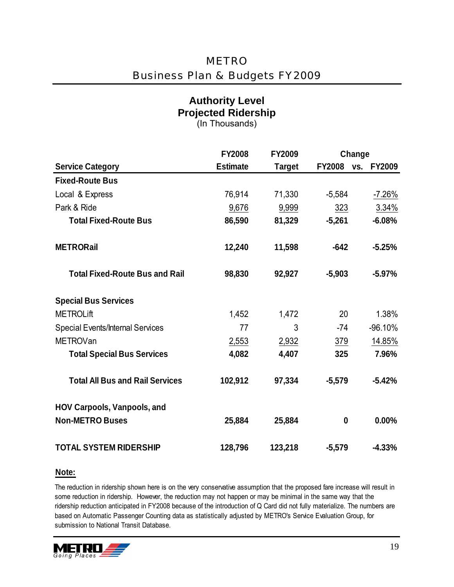#### **Authority Level Projected Ridership**  (In Thousands)

|                                         | <b>FY2008</b>   | FY2009        |               | Change               |
|-----------------------------------------|-----------------|---------------|---------------|----------------------|
| <b>Service Category</b>                 | <b>Estimate</b> | <b>Target</b> | <b>FY2008</b> | <b>FY2009</b><br>VS. |
| <b>Fixed-Route Bus</b>                  |                 |               |               |                      |
| Local & Express                         | 76,914          | 71,330        | $-5,584$      | $-7.26%$             |
| Park & Ride                             | 9,676           | 9,999         | 323           | 3.34%                |
| <b>Total Fixed-Route Bus</b>            | 86,590          | 81,329        | $-5,261$      | $-6.08%$             |
| <b>METRORail</b>                        | 12,240          | 11,598        | $-642$        | $-5.25%$             |
| <b>Total Fixed-Route Bus and Rail</b>   | 98,830          | 92,927        | $-5,903$      | $-5.97%$             |
| <b>Special Bus Services</b>             |                 |               |               |                      |
| <b>METROLift</b>                        | 1,452           | 1,472         | 20            | 1.38%                |
| <b>Special Events/Internal Services</b> | 77              | 3             | $-74$         | $-96.10%$            |
| <b>METROVan</b>                         | 2,553           | 2,932         | 379           | 14.85%               |
| <b>Total Special Bus Services</b>       | 4,082           | 4,407         | 325           | 7.96%                |
| <b>Total All Bus and Rail Services</b>  | 102,912         | 97,334        | $-5,579$      | $-5.42%$             |
| <b>HOV Carpools, Vanpools, and</b>      |                 |               |               |                      |
| <b>Non-METRO Buses</b>                  | 25,884          | 25,884        | 0             | 0.00%                |
| <b>TOTAL SYSTEM RIDERSHIP</b>           | 128,796         | 123,218       | $-5,579$      | $-4.33%$             |

#### **Note:**

The reduction in ridership shown here is on the very conservative assumption that the proposed fare increase will result in some reduction in ridership. However, the reduction may not happen or may be minimal in the same way that the ridership reduction anticipated in FY2008 because of the introduction of Q Card did not fully materialize. The numbers are based on Automatic Passenger Counting data as statistically adjusted by METRO's Service Evaluation Group, for submission to National Transit Database.

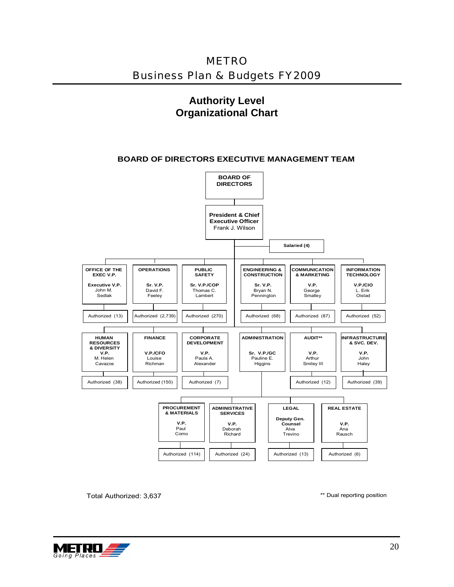METRO Business Plan & Budgets FY2009

#### **Authority Level Organizational Chart**

#### **BOARD OF DIRECTORS EXECUTIVE MANAGEMENT TEAM**



Total Authorized: 3,637

\*\* Dual reporting position

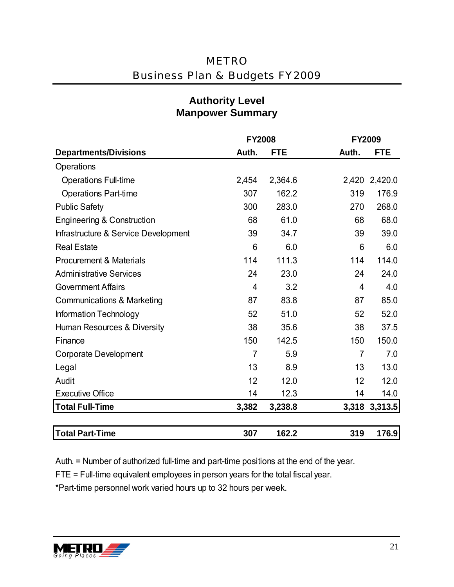|                                       | <b>FY2008</b>  |            | <b>FY2009</b>  |               |
|---------------------------------------|----------------|------------|----------------|---------------|
| <b>Departments/Divisions</b>          | Auth.          | <b>FTE</b> | Auth.          | <b>FTE</b>    |
| Operations                            |                |            |                |               |
| <b>Operations Full-time</b>           | 2,454          | 2,364.6    |                | 2,420 2,420.0 |
| <b>Operations Part-time</b>           | 307            | 162.2      | 319            | 176.9         |
| <b>Public Safety</b>                  | 300            | 283.0      | 270            | 268.0         |
| <b>Engineering &amp; Construction</b> | 68             | 61.0       | 68             | 68.0          |
| Infrastructure & Service Development  | 39             | 34.7       | 39             | 39.0          |
| <b>Real Estate</b>                    | 6              | 6.0        | 6              | 6.0           |
| <b>Procurement &amp; Materials</b>    | 114            | 111.3      | 114            | 114.0         |
| <b>Administrative Services</b>        | 24             | 23.0       | 24             | 24.0          |
| <b>Government Affairs</b>             | 4              | 3.2        | 4              | 4.0           |
| <b>Communications &amp; Marketing</b> | 87             | 83.8       | 87             | 85.0          |
| Information Technology                | 52             | 51.0       | 52             | 52.0          |
| Human Resources & Diversity           | 38             | 35.6       | 38             | 37.5          |
| Finance                               | 150            | 142.5      | 150            | 150.0         |
| <b>Corporate Development</b>          | $\overline{7}$ | 5.9        | $\overline{7}$ | 7.0           |
| Legal                                 | 13             | 8.9        | 13             | 13.0          |
| Audit                                 | 12             | 12.0       | 12             | 12.0          |
| <b>Executive Office</b>               | 14             | 12.3       | 14             | 14.0          |
| <b>Total Full-Time</b>                | 3,382          | 3,238.8    |                | 3,318 3,313.5 |
|                                       |                |            |                |               |
| <b>Total Part-Time</b>                | 307            | 162.2      | 319            | 176.9         |

### **Authority Level Manpower Summary**

Auth. = Number of authorized full-time and part-time positions at the end of the year.

FTE = Full-time equivalent employees in person years for the total fiscal year.

\*Part-time personnel work varied hours up to 32 hours per week.

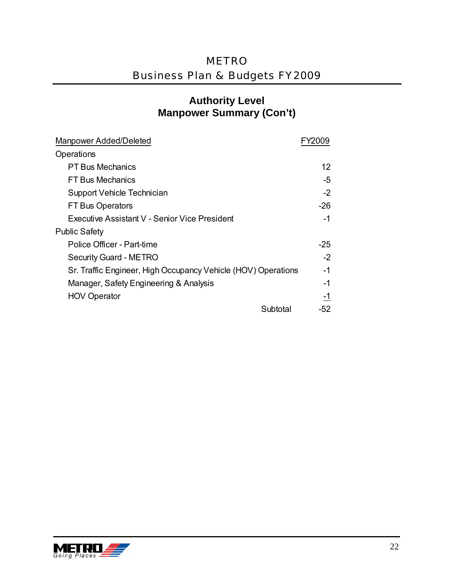### **Authority Level Manpower Summary (Con't)**

| Manpower Added/Deleted                                        |       |
|---------------------------------------------------------------|-------|
| Operations                                                    |       |
| <b>PT Bus Mechanics</b>                                       | 12    |
| <b>FT Bus Mechanics</b>                                       | -5    |
| Support Vehicle Technician                                    | $-2$  |
| <b>FT Bus Operators</b>                                       | -26   |
| Executive Assistant V - Senior Vice President                 | -1    |
| <b>Public Safety</b>                                          |       |
| Police Officer - Part-time                                    | $-25$ |
| <b>Security Guard - METRO</b>                                 | $-2$  |
| Sr. Traffic Engineer, High Occupancy Vehicle (HOV) Operations | -1    |
| Manager, Safety Engineering & Analysis                        | $-1$  |
| <b>HOV Operator</b>                                           | -1    |
| Subtotal                                                      | -52   |

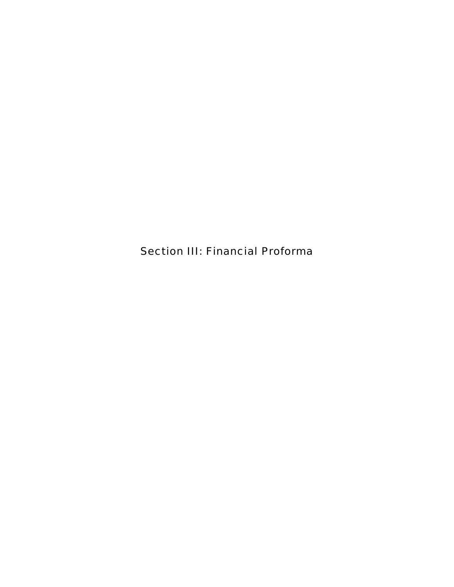Section III: Financial Proforma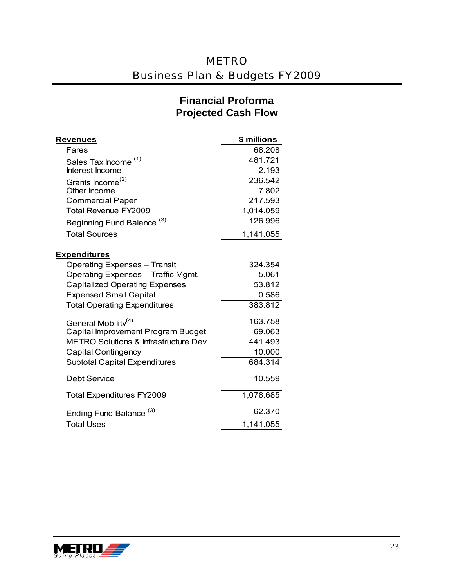### **Financial Proforma Projected Cash Flow**

| Revenues                                         | \$ millions |
|--------------------------------------------------|-------------|
| Fares                                            | 68.208      |
| Sales Tax Income <sup>(1)</sup>                  | 481.721     |
| Interest Income                                  | 2.193       |
| Grants Income <sup>(2)</sup>                     | 236.542     |
| Other Income                                     | 7.802       |
| <b>Commercial Paper</b>                          | 217.593     |
| Total Revenue FY2009                             | 1,014.059   |
| Beginning Fund Balance <sup>(3)</sup>            | 126.996     |
| <b>Total Sources</b>                             | 1,141.055   |
| <b>Expenditures</b>                              |             |
| <b>Operating Expenses - Transit</b>              | 324.354     |
| Operating Expenses - Traffic Mgmt.               | 5.061       |
| <b>Capitalized Operating Expenses</b>            | 53.812      |
| <b>Expensed Small Capital</b>                    | 0.586       |
| <b>Total Operating Expenditures</b>              | 383.812     |
| General Mobility <sup>(4)</sup>                  | 163.758     |
| Capital Improvement Program Budget               | 69.063      |
| <b>METRO Solutions &amp; Infrastructure Dev.</b> | 441.493     |
| <b>Capital Contingency</b>                       | 10.000      |
| <b>Subtotal Capital Expenditures</b>             | 684.314     |
| <b>Debt Service</b>                              | 10.559      |
| <b>Total Expenditures FY2009</b>                 | 1,078.685   |
| Ending Fund Balance <sup>(3)</sup>               | 62.370      |
| <b>Total Uses</b>                                | 1,141.055   |

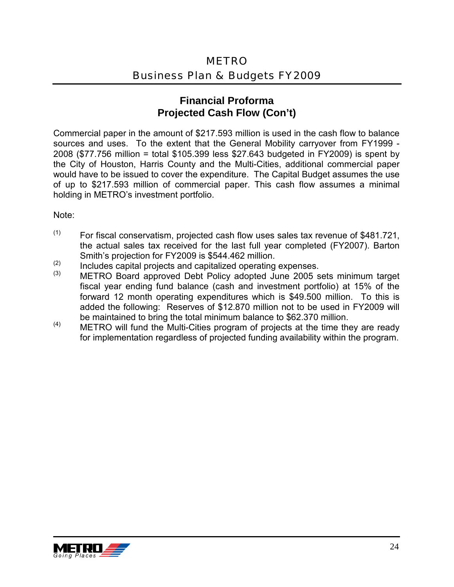#### **Financial Proforma Projected Cash Flow (Con't)**

Commercial paper in the amount of \$217.593 million is used in the cash flow to balance sources and uses. To the extent that the General Mobility carryover from FY1999 - 2008 (\$77.756 million = total \$105.399 less \$27.643 budgeted in FY2009) is spent by the City of Houston, Harris County and the Multi-Cities, additional commercial paper would have to be issued to cover the expenditure. The Capital Budget assumes the use of up to \$217.593 million of commercial paper. This cash flow assumes a minimal holding in METRO's investment portfolio.

Note:

- $(1)$  For fiscal conservatism, projected cash flow uses sales tax revenue of \$481.721, the actual sales tax received for the last full year completed (FY2007). Barton
- 
- Smith's projection for FY2009 is \$544.462 million.<br>
(2) Includes capital projects and capitalized operating expenses.<br>
(3) METRO Board approved Debt Policy adopted June 2005 sets minimum target fiscal year ending fund balance (cash and investment portfolio) at 15% of the forward 12 month operating expenditures which is \$49.500 million. To this is added the following: Reserves of \$12.870 million not to be used in FY2009 will
- be maintained to bring the total minimum balance to \$62.370 million.<br>METRO will fund the Multi-Cities program of projects at the time they are ready for implementation regardless of projected funding availability within the program.

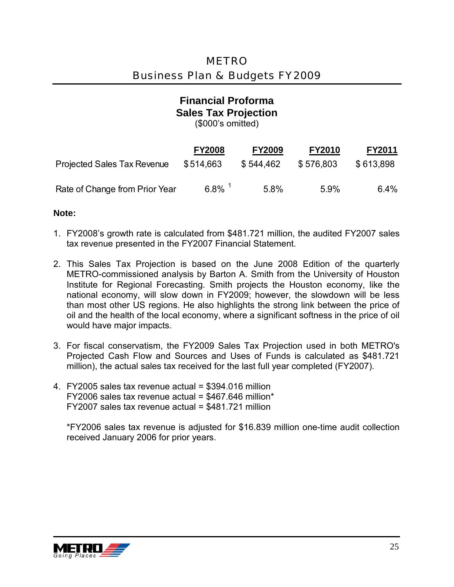#### **Financial Proforma Sales Tax Projection**  (\$000's omitted)

|                                    | <b>FY2008</b>        | <b>FY2009</b> | <b>FY2010</b> | <b>FY2011</b> |
|------------------------------------|----------------------|---------------|---------------|---------------|
| <b>Projected Sales Tax Revenue</b> | \$514,663            | \$544.462     | \$576.803     | \$613,898     |
| Rate of Change from Prior Year     | $6.8\%$ <sup>1</sup> | 5.8%          | 5.9%          | 6.4%          |

#### **Note:**

- 1. FY2008's growth rate is calculated from \$481.721 million, the audited FY2007 sales tax revenue presented in the FY2007 Financial Statement.
- 2. This Sales Tax Projection is based on the June 2008 Edition of the quarterly METRO-commissioned analysis by Barton A. Smith from the University of Houston Institute for Regional Forecasting. Smith projects the Houston economy, like the national economy, will slow down in FY2009; however, the slowdown will be less than most other US regions. He also highlights the strong link between the price of oil and the health of the local economy, where a significant softness in the price of oil would have major impacts.
- 3. For fiscal conservatism, the FY2009 Sales Tax Projection used in both METRO's Projected Cash Flow and Sources and Uses of Funds is calculated as \$481.721 million), the actual sales tax received for the last full year completed (FY2007).
- FY2007 sales tax revenue actual = \$481.721 million 4. FY2005 sales tax revenue actual = \$394.016 million  $FY2006$  sales tax revenue actual = \$467.646 million\*

\*FY2006 sales tax revenue is adjusted for \$16.839 million one-time audit collection received January 2006 for prior years.

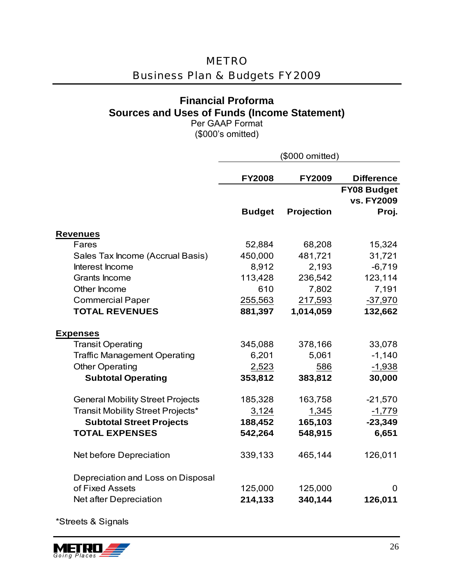### METRO

### Business Plan & Budgets FY2009

### **Financial Proforma Sources and Uses of Funds (Income Statement)**

Per GAAP Format (\$000's omitted)

|                                         | (\$000 omitted)                |                   |                                           |  |
|-----------------------------------------|--------------------------------|-------------------|-------------------------------------------|--|
|                                         | <b>FY2008</b><br><b>FY2009</b> |                   | <b>Difference</b>                         |  |
|                                         | <b>Budget</b>                  | <b>Projection</b> | <b>FY08 Budget</b><br>vs. FY2009<br>Proj. |  |
|                                         |                                |                   |                                           |  |
| <b>Revenues</b>                         |                                |                   |                                           |  |
| Fares                                   | 52,884                         | 68,208            | 15,324                                    |  |
| Sales Tax Income (Accrual Basis)        | 450,000                        | 481,721           | 31,721                                    |  |
| Interest Income                         | 8,912                          | 2,193             | $-6,719$                                  |  |
| Grants Income                           | 113,428                        | 236,542           | 123,114                                   |  |
| Other Income                            | 610                            | 7,802             | 7,191                                     |  |
| <b>Commercial Paper</b>                 | 255,563                        | 217,593           | $-37,970$                                 |  |
| <b>TOTAL REVENUES</b>                   | 881,397                        | 1,014,059         | 132,662                                   |  |
| <b>Expenses</b>                         |                                |                   |                                           |  |
| <b>Transit Operating</b>                | 345,088                        | 378,166           | 33,078                                    |  |
| <b>Traffic Management Operating</b>     | 6,201                          | 5,061             | $-1,140$                                  |  |
| <b>Other Operating</b>                  | 2,523                          | 586               | $-1,938$                                  |  |
| <b>Subtotal Operating</b>               | 353,812                        | 383,812           | 30,000                                    |  |
| <b>General Mobility Street Projects</b> | 185,328                        | 163,758           | $-21,570$                                 |  |
| Transit Mobility Street Projects*       | 3,124                          | 1,345             | $-1,779$                                  |  |
| <b>Subtotal Street Projects</b>         | 188,452                        | 165,103           | $-23,349$                                 |  |
| <b>TOTAL EXPENSES</b>                   | 542,264                        | 548,915           | 6,651                                     |  |
| Net before Depreciation                 | 339,133                        | 465,144           | 126,011                                   |  |
| Depreciation and Loss on Disposal       |                                |                   |                                           |  |
| of Fixed Assets                         | 125,000                        | 125,000           | 0                                         |  |
| Net after Depreciation                  | 214,133                        | 340,144           | 126,011                                   |  |

\*Streets & Signals

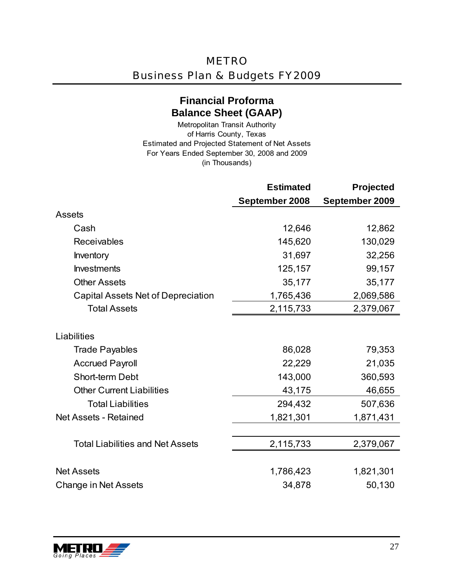### **Financial Proforma Balance Sheet (GAAP)**

(in Thousands) Metropolitan Transit Authority of Harris County, Texas Estimated and Projected Statement of Net Assets For Years Ended September 30, 2008 and 2009

|                                         | <b>Estimated</b> | Projected      |
|-----------------------------------------|------------------|----------------|
|                                         | September 2008   | September 2009 |
| <b>Assets</b>                           |                  |                |
| Cash                                    | 12,646           | 12,862         |
| <b>Receivables</b>                      | 145,620          | 130,029        |
| <b>Inventory</b>                        | 31,697           | 32,256         |
| <b>Investments</b>                      | 125,157          | 99,157         |
| <b>Other Assets</b>                     | 35,177           | 35,177         |
| Capital Assets Net of Depreciation      | 1,765,436        | 2,069,586      |
| <b>Total Assets</b>                     | 2,115,733        | 2,379,067      |
| Liabilities                             |                  |                |
| <b>Trade Payables</b>                   | 86,028           | 79,353         |
| <b>Accrued Payroll</b>                  | 22,229           | 21,035         |
| <b>Short-term Debt</b>                  | 143,000          | 360,593        |
| <b>Other Current Liabilities</b>        | 43,175           | 46,655         |
| <b>Total Liabilities</b>                | 294,432          | 507,636        |
| <b>Net Assets - Retained</b>            | 1,821,301        | 1,871,431      |
|                                         |                  |                |
| <b>Total Liabilities and Net Assets</b> | 2,115,733        | 2,379,067      |
|                                         |                  |                |
| <b>Net Assets</b>                       | 1,786,423        | 1,821,301      |
| <b>Change in Net Assets</b>             | 34,878           | 50,130         |

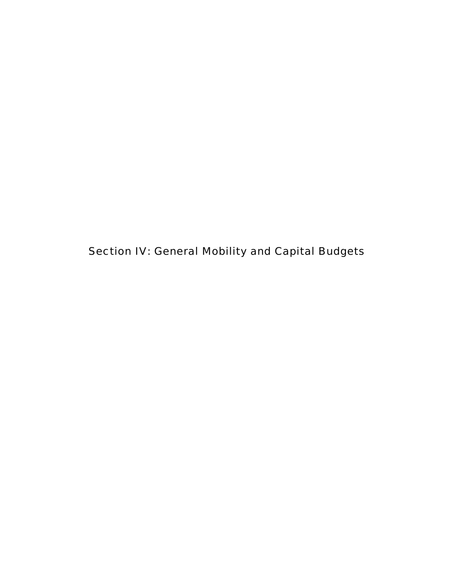Section IV: General Mobility and Capital Budgets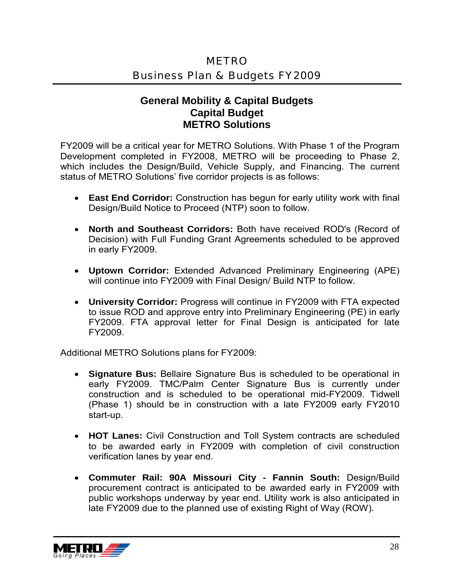### **General Mobility & Capital Budgets Capital Budget METRO Solutions**

FY2009 will be a critical year for METRO Solutions. With Phase 1 of the Program Development completed in FY2008, METRO will be proceeding to Phase 2, which includes the Design/Build, Vehicle Supply, and Financing. The current status of METRO Solutions' five corridor projects is as follows:

- **East End Corridor:** Construction has begun for early utility work with final Design/Build Notice to Proceed (NTP) soon to follow.
- **North and Southeast Corridors:** Both have received ROD's (Record of Decision) with Full Funding Grant Agreements scheduled to be approved in early FY2009.
- **Uptown Corridor:** Extended Advanced Preliminary Engineering (APE) will continue into FY2009 with Final Design/ Build NTP to follow.
- **University Corridor:** Progress will continue in FY2009 with FTA expected to issue ROD and approve entry into Preliminary Engineering (PE) in early FY2009. FTA approval letter for Final Design is anticipated for late FY2009.

Additional METRO Solutions plans for FY2009:

- **Signature Bus:** Bellaire Signature Bus is scheduled to be operational in early FY2009. TMC/Palm Center Signature Bus is currently under construction and is scheduled to be operational mid-FY2009. Tidwell (Phase 1) should be in construction with a late FY2009 early FY2010 start-up.
- **HOT Lanes:** Civil Construction and Toll System contracts are scheduled to be awarded early in FY2009 with completion of civil construction verification lanes by year end.
- **Commuter Rail: 90A Missouri City Fannin South:** Design/Build procurement contract is anticipated to be awarded early in FY2009 with public workshops underway by year end. Utility work is also anticipated in late FY2009 due to the planned use of existing Right of Way (ROW).

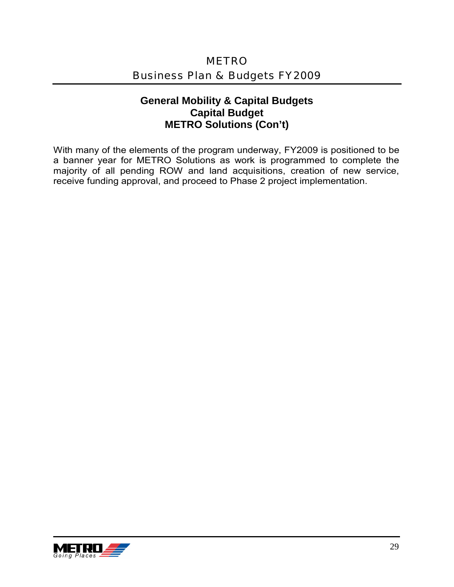### **General Mobility & Capital Budgets Capital Budget METRO Solutions (Con't)**

With many of the elements of the program underway, FY2009 is positioned to be a banner year for METRO Solutions as work is programmed to complete the majority of all pending ROW and land acquisitions, creation of new service, receive funding approval, and proceed to Phase 2 project implementation.

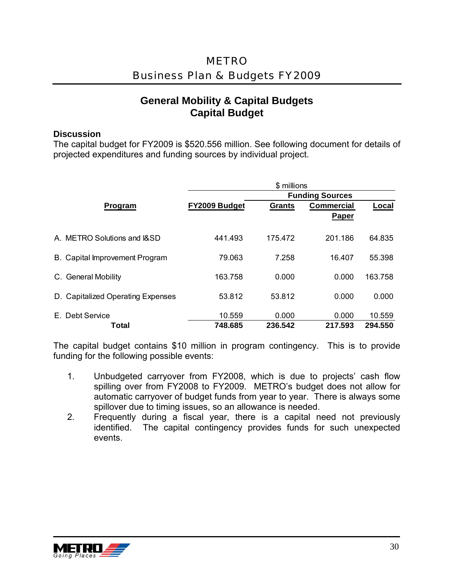### **General Mobility & Capital Budgets Capital Budget**

#### **Discussion**

The capital budget for FY2009 is \$520.556 million. See following document for details of projected expenditures and funding sources by individual project.

|                                   | \$ millions<br><b>Funding Sources</b> |                  |                            |                   |
|-----------------------------------|---------------------------------------|------------------|----------------------------|-------------------|
| Program                           | FY2009 Budget                         | <b>Grants</b>    | <b>Commercial</b><br>Paper | Local             |
| A. METRO Solutions and I&SD       | 441.493                               | 175.472          | 201.186                    | 64.835            |
| B. Capital Improvement Program    | 79.063                                | 7.258            | 16.407                     | 55.398            |
| C. General Mobility               | 163.758                               | 0.000            | 0.000                      | 163.758           |
| D. Capitalized Operating Expenses | 53.812                                | 53.812           | 0.000                      | 0.000             |
| E. Debt Service<br>Total          | 10.559<br>748.685                     | 0.000<br>236.542 | 0.000<br>217.593           | 10.559<br>294.550 |

The capital budget contains \$10 million in program contingency. This is to provide funding for the following possible events:

- 1. Unbudgeted carryover from FY2008, which is due to projects' cash flow spilling over from FY2008 to FY2009. METRO's budget does not allow for automatic carryover of budget funds from year to year. There is always some spillover due to timing issues, so an allowance is needed.
- 2. Frequently during a fiscal year, there is a capital need not previously identified. The capital contingency provides funds for such unexpected events.

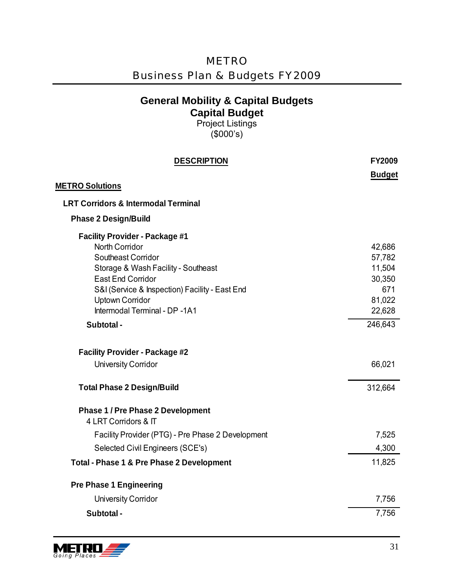| <b>METRO</b>                              |  |  |  |
|-------------------------------------------|--|--|--|
| <b>Business Plan &amp; Budgets FY2009</b> |  |  |  |

Project Listings (\$000's)

| <b>DESCRIPTION</b>                                               | <b>FY2009</b> |
|------------------------------------------------------------------|---------------|
|                                                                  | <b>Budget</b> |
| <b>METRO Solutions</b>                                           |               |
| <b>LRT Corridors &amp; Intermodal Terminal</b>                   |               |
| <b>Phase 2 Design/Build</b>                                      |               |
| <b>Facility Provider - Package #1</b>                            |               |
| <b>North Corridor</b>                                            | 42,686        |
| Southeast Corridor                                               | 57,782        |
| Storage & Wash Facility - Southeast<br><b>East End Corridor</b>  | 11,504        |
| S&I (Service & Inspection) Facility - East End                   | 30,350<br>671 |
| <b>Uptown Corridor</b>                                           | 81,022        |
| Intermodal Terminal - DP -1A1                                    | 22,628        |
| Subtotal -                                                       | 246,643       |
| <b>Facility Provider - Package #2</b>                            |               |
| <b>University Corridor</b>                                       | 66,021        |
| <b>Total Phase 2 Design/Build</b>                                | 312,664       |
| <b>Phase 1 / Pre Phase 2 Development</b><br>4 LRT Corridors & IT |               |
| Facility Provider (PTG) - Pre Phase 2 Development                | 7,525         |
| Selected Civil Engineers (SCE's)                                 | 4,300         |
| Total - Phase 1 & Pre Phase 2 Development                        | 11,825        |
| <b>Pre Phase 1 Engineering</b>                                   |               |
| <b>University Corridor</b>                                       | 7,756         |
| Subtotal -                                                       | 7,756         |
|                                                                  |               |

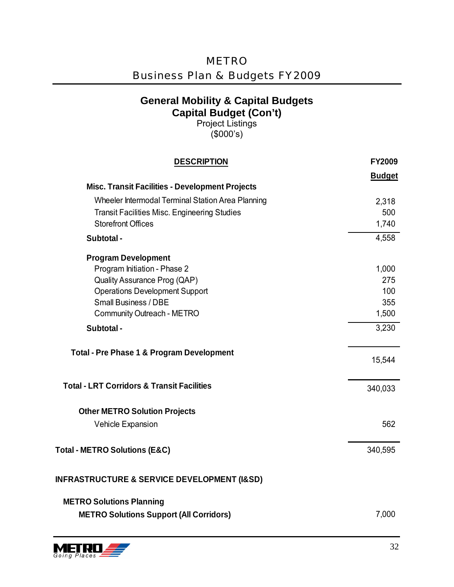| <b>METRO</b>                              |
|-------------------------------------------|
| <b>Business Plan &amp; Budgets FY2009</b> |

Project Listings (\$000's)

| <b>DESCRIPTION</b>                                         | FY2009        |
|------------------------------------------------------------|---------------|
| <b>Misc. Transit Facilities - Development Projects</b>     | <b>Budget</b> |
| Wheeler Intermodal Terminal Station Area Planning          | 2,318         |
| <b>Transit Facilities Misc. Engineering Studies</b>        | 500           |
| <b>Storefront Offices</b>                                  | 1,740         |
| Subtotal -                                                 | 4,558         |
| <b>Program Development</b>                                 |               |
| Program Initiation - Phase 2                               | 1,000         |
| Quality Assurance Prog (QAP)                               | 275           |
| <b>Operations Development Support</b>                      | 100           |
| <b>Small Business / DBE</b>                                | 355           |
| <b>Community Outreach - METRO</b>                          | 1,500         |
| Subtotal -                                                 | 3,230         |
| <b>Total - Pre Phase 1 &amp; Program Development</b>       | 15,544        |
| <b>Total - LRT Corridors &amp; Transit Facilities</b>      | 340,033       |
| <b>Other METRO Solution Projects</b>                       |               |
| <b>Vehicle Expansion</b>                                   | 562           |
| Total - METRO Solutions (E&C)                              | 340,595       |
| <b>INFRASTRUCTURE &amp; SERVICE DEVELOPMENT (I&amp;SD)</b> |               |
| <b>METRO Solutions Planning</b>                            |               |
| <b>METRO Solutions Support (All Corridors)</b>             | 7,000         |

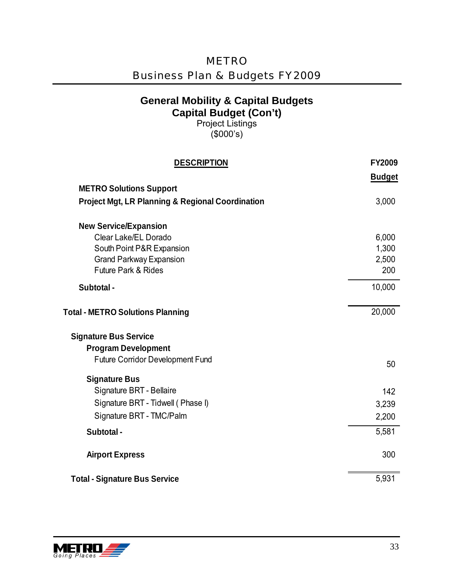| <b>General Mobility &amp; Capital Budgets</b><br><b>Capital Budget (Con't)</b><br><b>Project Listings</b><br>(\$000's) |               |
|------------------------------------------------------------------------------------------------------------------------|---------------|
| <b>DESCRIPTION</b>                                                                                                     | <b>FY2009</b> |
| <b>METRO Solutions Support</b>                                                                                         | <b>Budget</b> |
| <b>Project Mgt, LR Planning &amp; Regional Coordination</b>                                                            | 3,000         |
| <b>New Service/Expansion</b>                                                                                           |               |
| Clear Lake/EL Dorado                                                                                                   | 6,000         |
| South Point P&R Expansion                                                                                              | 1,300         |
| <b>Grand Parkway Expansion</b>                                                                                         | 2,500         |
| <b>Future Park &amp; Rides</b>                                                                                         | 200           |
| Subtotal -                                                                                                             | 10,000        |
| <b>Total - METRO Solutions Planning</b>                                                                                | 20,000        |
| <b>Signature Bus Service</b>                                                                                           |               |
| <b>Program Development</b>                                                                                             |               |
| <b>Future Corridor Development Fund</b>                                                                                | 50            |
| <b>Signature Bus</b>                                                                                                   |               |
| Signature BRT - Bellaire                                                                                               | 142           |
| Signature BRT - Tidwell (Phase I)                                                                                      | 3,239         |
| Signature BRT - TMC/Palm                                                                                               | 2,200         |
| Subtotal -                                                                                                             | 5,581         |
|                                                                                                                        |               |
| <b>Airport Express</b>                                                                                                 | 300           |
| <b>Total - Signature Bus Service</b>                                                                                   | 5,931         |

METRO

Business Plan & Budgets FY2009

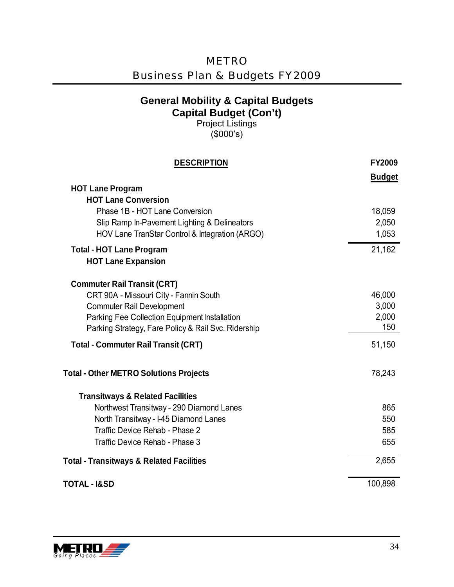| <b>METRO</b>                              |  |
|-------------------------------------------|--|
| <b>Business Plan &amp; Budgets FY2009</b> |  |

Project Listings (\$000's)

| <b>DESCRIPTION</b>                                  | <b>FY2009</b> |
|-----------------------------------------------------|---------------|
|                                                     | <b>Budget</b> |
| <b>HOT Lane Program</b>                             |               |
| <b>HOT Lane Conversion</b>                          |               |
| Phase 1B - HOT Lane Conversion                      | 18,059        |
| Slip Ramp In-Pavement Lighting & Delineators        | 2,050         |
| HOV Lane TranStar Control & Integration (ARGO)      | 1,053         |
| <b>Total - HOT Lane Program</b>                     | 21,162        |
| <b>HOT Lane Expansion</b>                           |               |
| <b>Commuter Rail Transit (CRT)</b>                  |               |
| CRT 90A - Missouri City - Fannin South              | 46,000        |
| <b>Commuter Rail Development</b>                    | 3,000         |
| Parking Fee Collection Equipment Installation       | 2,000         |
| Parking Strategy, Fare Policy & Rail Svc. Ridership | 150           |
| <b>Total - Commuter Rail Transit (CRT)</b>          | 51,150        |
| <b>Total - Other METRO Solutions Projects</b>       | 78,243        |
| <b>Transitways &amp; Related Facilities</b>         |               |
| Northwest Transitway - 290 Diamond Lanes            | 865           |
| North Transitway - I-45 Diamond Lanes               | 550           |
| Traffic Device Rehab - Phase 2                      | 585           |
| Traffic Device Rehab - Phase 3                      | 655           |
| <b>Total - Transitways &amp; Related Facilities</b> | 2,655         |
| <b>TOTAL - I&amp;SD</b>                             | 100,898       |
|                                                     |               |

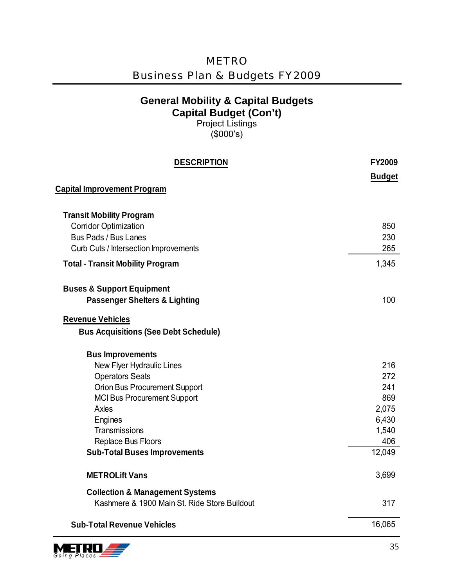| <b>Business Plan &amp; Budgets FY2009</b>                                                                              |               |  |
|------------------------------------------------------------------------------------------------------------------------|---------------|--|
| <b>General Mobility &amp; Capital Budgets</b><br><b>Capital Budget (Con't)</b><br><b>Project Listings</b><br>(\$000's) |               |  |
| <b>DESCRIPTION</b>                                                                                                     | <b>FY2009</b> |  |
|                                                                                                                        | <b>Budget</b> |  |
| <b>Capital Improvement Program</b>                                                                                     |               |  |
| <b>Transit Mobility Program</b>                                                                                        |               |  |
| <b>Corridor Optimization</b>                                                                                           | 850           |  |
| <b>Bus Pads / Bus Lanes</b>                                                                                            | 230           |  |
| Curb Cuts / Intersection Improvements                                                                                  | 265           |  |
| <b>Total - Transit Mobility Program</b>                                                                                | 1,345         |  |
| <b>Buses &amp; Support Equipment</b><br><b>Passenger Shelters &amp; Lighting</b>                                       | 100           |  |
| <b>Revenue Vehicles</b>                                                                                                |               |  |
| <b>Bus Acquisitions (See Debt Schedule)</b>                                                                            |               |  |
| <b>Bus Improvements</b>                                                                                                |               |  |
| New Flyer Hydraulic Lines                                                                                              | 216           |  |
| <b>Operators Seats</b><br>Orion Bus Procurement Support                                                                | 272<br>241    |  |
| <b>MCI Bus Procurement Support</b>                                                                                     | 869           |  |
| Axles                                                                                                                  | 2,075         |  |
| Engines                                                                                                                | 6,430         |  |
| Transmissions                                                                                                          | 1,540         |  |
| Replace Bus Floors                                                                                                     | 406           |  |
| <b>Sub-Total Buses Improvements</b>                                                                                    | 12,049        |  |
| <b>METROLift Vans</b>                                                                                                  | 3,699         |  |
| <b>Collection &amp; Management Systems</b><br>Kashmere & 1900 Main St. Ride Store Buildout                             | 317           |  |
| <b>Sub-Total Revenue Vehicles</b>                                                                                      | 16,065        |  |

METRO

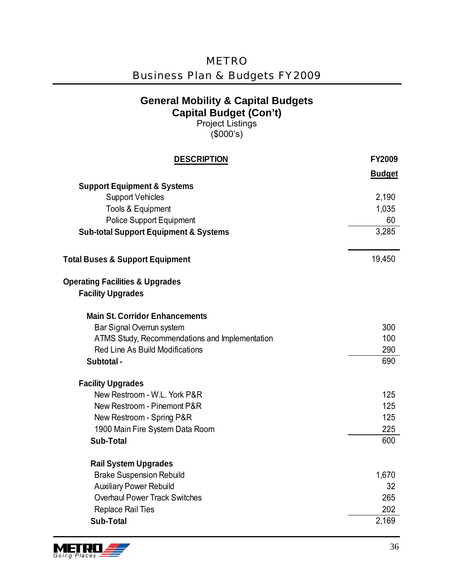| <b>METRO</b>                              |
|-------------------------------------------|
| <b>Business Plan &amp; Budgets FY2009</b> |

Project Listings (\$000's)

| <b>DESCRIPTION</b>                               | <b>FY2009</b> |
|--------------------------------------------------|---------------|
|                                                  | <b>Budget</b> |
| <b>Support Equipment &amp; Systems</b>           |               |
| <b>Support Vehicles</b>                          | 2,190         |
| Tools & Equipment                                | 1,035         |
| <b>Police Support Equipment</b>                  | 60            |
| <b>Sub-total Support Equipment &amp; Systems</b> | 3,285         |
| <b>Total Buses &amp; Support Equipment</b>       | 19,450        |
| <b>Operating Facilities &amp; Upgrades</b>       |               |
| <b>Facility Upgrades</b>                         |               |
| <b>Main St. Corridor Enhancements</b>            |               |
| Bar Signal Overrun system                        | 300           |
| ATMS Study, Recommendations and Implementation   | 100           |
| Red Line As Build Modifications                  | 290           |
| Subtotal -                                       | 690           |
| <b>Facility Upgrades</b>                         |               |
| New Restroom - W.L. York P&R                     | 125           |
| New Restroom - Pinemont P&R                      | 125           |
| New Restroom - Spring P&R                        | 125           |
| 1900 Main Fire System Data Room                  | 225           |
| <b>Sub-Total</b>                                 | 600           |
| <b>Rail System Upgrades</b>                      |               |
| <b>Brake Suspension Rebuild</b>                  | 1,670         |
| <b>Auxiliary Power Rebuild</b>                   | 32            |
| <b>Overhaul Power Track Switches</b>             | 265           |
| <b>Replace Rail Ties</b>                         | 202           |
| <b>Sub-Total</b>                                 | 2,169         |

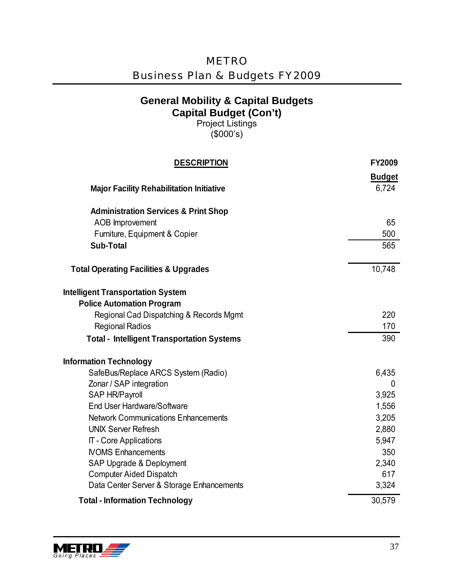| <b>METRO</b>                              |
|-------------------------------------------|
| <b>Business Plan &amp; Budgets FY2009</b> |

Project Listings (\$000's)

| <b>DESCRIPTION</b>                                                          | FY2009        |
|-----------------------------------------------------------------------------|---------------|
|                                                                             | <b>Budget</b> |
| <b>Major Facility Rehabilitation Initiative</b>                             | 6,724         |
| <b>Administration Services &amp; Print Shop</b>                             |               |
| AOB Improvement                                                             | 65            |
| Furniture, Equipment & Copier                                               | 500           |
| <b>Sub-Total</b>                                                            | 565           |
| <b>Total Operating Facilities &amp; Upgrades</b>                            | 10,748        |
| <b>Intelligent Transportation System</b>                                    |               |
| <b>Police Automation Program</b>                                            |               |
| Regional Cad Dispatching & Records Mgmt                                     | 220           |
| <b>Regional Radios</b>                                                      | 170           |
| <b>Total - Intelligent Transportation Systems</b>                           | 390           |
| <b>Information Technology</b>                                               |               |
| SafeBus/Replace ARCS System (Radio)                                         | 6,435         |
| Zonar / SAP integration                                                     | 0             |
| <b>SAP HR/Payroll</b>                                                       | 3,925         |
| End User Hardware/Software                                                  | 1,556         |
| <b>Network Communications Enhancements</b>                                  | 3,205         |
| <b>UNIX Server Refresh</b>                                                  | 2,880         |
| IT - Core Applications                                                      | 5,947         |
| <b>NOMS Enhancements</b>                                                    | 350           |
| SAP Upgrade & Deployment                                                    | 2,340<br>617  |
| <b>Computer Aided Dispatch</b><br>Data Center Server & Storage Enhancements | 3,324         |
| <b>Total - Information Technology</b>                                       | 30,579        |

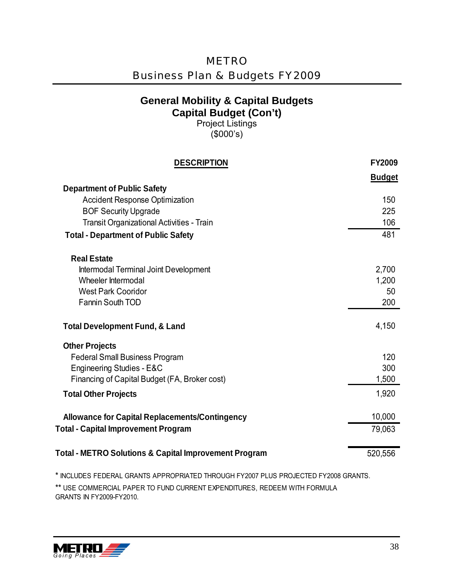| <b>METRO</b>                              |
|-------------------------------------------|
| <b>Business Plan &amp; Budgets FY2009</b> |

Project Listings (\$000's)

| <b>DESCRIPTION</b>                                    | <b>FY2009</b> |
|-------------------------------------------------------|---------------|
|                                                       | <b>Budget</b> |
| <b>Department of Public Safety</b>                    |               |
| <b>Accident Response Optimization</b>                 | 150           |
| <b>BOF Security Upgrade</b>                           | 225           |
| Transit Organizational Activities - Train             | 106           |
| <b>Total - Department of Public Safety</b>            | 481           |
| <b>Real Estate</b>                                    |               |
| Intermodal Terminal Joint Development                 | 2,700         |
| Wheeler Intermodal                                    | 1,200         |
| <b>West Park Cooridor</b>                             | 50            |
| <b>Fannin South TOD</b>                               | 200           |
| <b>Total Development Fund, &amp; Land</b>             | 4,150         |
| <b>Other Projects</b>                                 |               |
| <b>Federal Small Business Program</b>                 | 120           |
| Engineering Studies - E&C                             | 300           |
| Financing of Capital Budget (FA, Broker cost)         | 1,500         |
| <b>Total Other Projects</b>                           | 1,920         |
| <b>Allowance for Capital Replacements/Contingency</b> | 10,000        |
| <b>Total - Capital Improvement Program</b>            | 79,063        |
| Total - METRO Solutions & Capital Improvement Program | 520,556       |
|                                                       |               |

\* INCLUDES FEDERAL GRANTS APPROPRIATED THROUGH FY2007 PLUS PROJECTED FY2008 GRANTS.

\*\* USE COMMERCIAL PAPER TO FUND CURRENT EXPENDITURES, REDEEM WITH FORMULA GRANTS IN FY2009-FY2010.

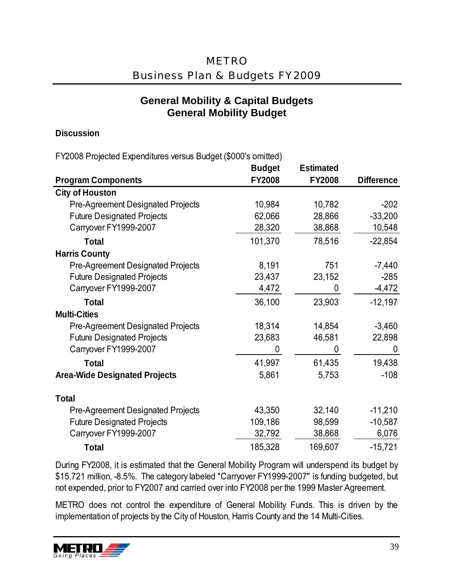#### **General Mobility & Capital Budgets General Mobility Budget**

#### **Discussion**

FY2008 Projected Expenditures versus Budget (\$000's omitted)

|                                          | <b>Budget</b> | <b>Estimated</b> |                   |
|------------------------------------------|---------------|------------------|-------------------|
| <b>Program Components</b>                | <b>FY2008</b> | <b>FY2008</b>    | <b>Difference</b> |
| <b>City of Houston</b>                   |               |                  |                   |
| <b>Pre-Agreement Designated Projects</b> | 10,984        | 10,782           | $-202$            |
| <b>Future Designated Projects</b>        | 62,066        | 28,866           | $-33,200$         |
| Carryover FY1999-2007                    | 28,320        | 38,868           | 10,548            |
| <b>Total</b>                             | 101,370       | 78,516           | $-22,854$         |
| <b>Harris County</b>                     |               |                  |                   |
| <b>Pre-Agreement Designated Projects</b> | 8,191         | 751              | $-7,440$          |
| <b>Future Designated Projects</b>        | 23,437        | 23,152           | $-285$            |
| Carryover FY1999-2007                    | 4,472         | 0                | $-4,472$          |
| <b>Total</b>                             | 36,100        | 23,903           | $-12,197$         |
| <b>Multi-Cities</b>                      |               |                  |                   |
| <b>Pre-Agreement Designated Projects</b> | 18,314        | 14,854           | $-3,460$          |
| <b>Future Designated Projects</b>        | 23,683        | 46,581           | 22,898            |
| Carryover FY1999-2007                    | 0             | 0                | 0                 |
| <b>Total</b>                             | 41,997        | 61,435           | 19,438            |
| <b>Area-Wide Designated Projects</b>     | 5,861         | 5,753            | $-108$            |
| <b>Total</b>                             |               |                  |                   |
| <b>Pre-Agreement Designated Projects</b> | 43,350        | 32,140           | $-11,210$         |
| <b>Future Designated Projects</b>        | 109,186       | 98,599           | $-10,587$         |
| Carryover FY1999-2007                    | 32,792        | 38,868           | 6,076             |
| <b>Total</b>                             | 185,328       | 169,607          | $-15,721$         |

During FY2008, it is estimated that the General Mobility Program will underspend its budget by \$15.721 million, -8.5%. The category labeled "Carryover FY1999-2007" is funding budgeted, but not expended, prior to FY2007 and carried over into FY2008 per the 1999 Master Agreement.

METRO does not control the expenditure of General Mobility Funds. This is driven by the implementation of projects by the City of Houston, Harris County and the 14 Multi-Cities.

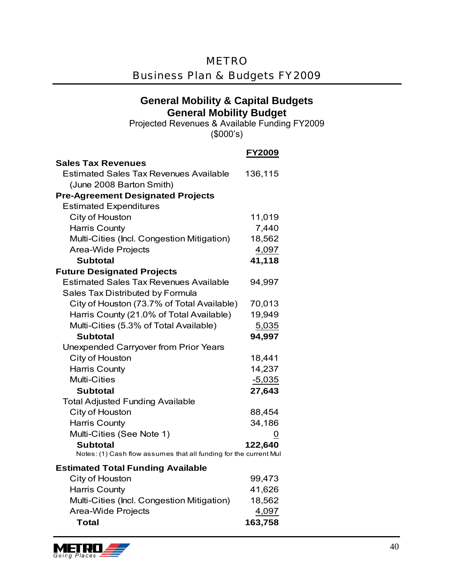#### METRO

### Business Plan & Budgets FY2009

#### **General Mobility & Capital Budgets General Mobility Budget**

Projected Revenues & Available Funding FY2009 (\$000's)

|                                                                   | <b>FY2009</b> |
|-------------------------------------------------------------------|---------------|
| <b>Sales Tax Revenues</b>                                         |               |
| <b>Estimated Sales Tax Revenues Available</b>                     | 136,115       |
| (June 2008 Barton Smith)                                          |               |
| <b>Pre-Agreement Designated Projects</b>                          |               |
| <b>Estimated Expenditures</b>                                     |               |
| City of Houston                                                   | 11,019        |
| <b>Harris County</b>                                              | 7,440         |
| Multi-Cities (Incl. Congestion Mitigation)                        | 18,562        |
| <b>Area-Wide Projects</b>                                         | 4,097         |
| <b>Subtotal</b>                                                   | 41,118        |
| <b>Future Designated Projects</b>                                 |               |
| <b>Estimated Sales Tax Revenues Available</b>                     | 94,997        |
| Sales Tax Distributed by Formula                                  |               |
| City of Houston (73.7% of Total Available)                        | 70,013        |
| Harris County (21.0% of Total Available)                          | 19,949        |
| Multi-Cities (5.3% of Total Available)                            | 5,035         |
| <b>Subtotal</b>                                                   | 94,997        |
| <b>Unexpended Carryover from Prior Years</b>                      |               |
| City of Houston                                                   | 18,441        |
| <b>Harris County</b>                                              | 14,237        |
| <b>Multi-Cities</b>                                               | $-5,035$      |
| <b>Subtotal</b>                                                   | 27,643        |
| <b>Total Adjusted Funding Available</b>                           |               |
| City of Houston                                                   | 88,454        |
| <b>Harris County</b>                                              | 34,186        |
| Multi-Cities (See Note 1)                                         | 0             |
| <b>Subtotal</b>                                                   | 122,640       |
| Notes: (1) Cash flow assumes that all funding for the current Mul |               |
| <b>Estimated Total Funding Available</b>                          |               |
| City of Houston                                                   | 99,473        |
| <b>Harris County</b>                                              | 41,626        |
| Multi-Cities (Incl. Congestion Mitigation)                        | 18,562        |
| <b>Area-Wide Projects</b>                                         | 4,097         |

**Total 163,758**